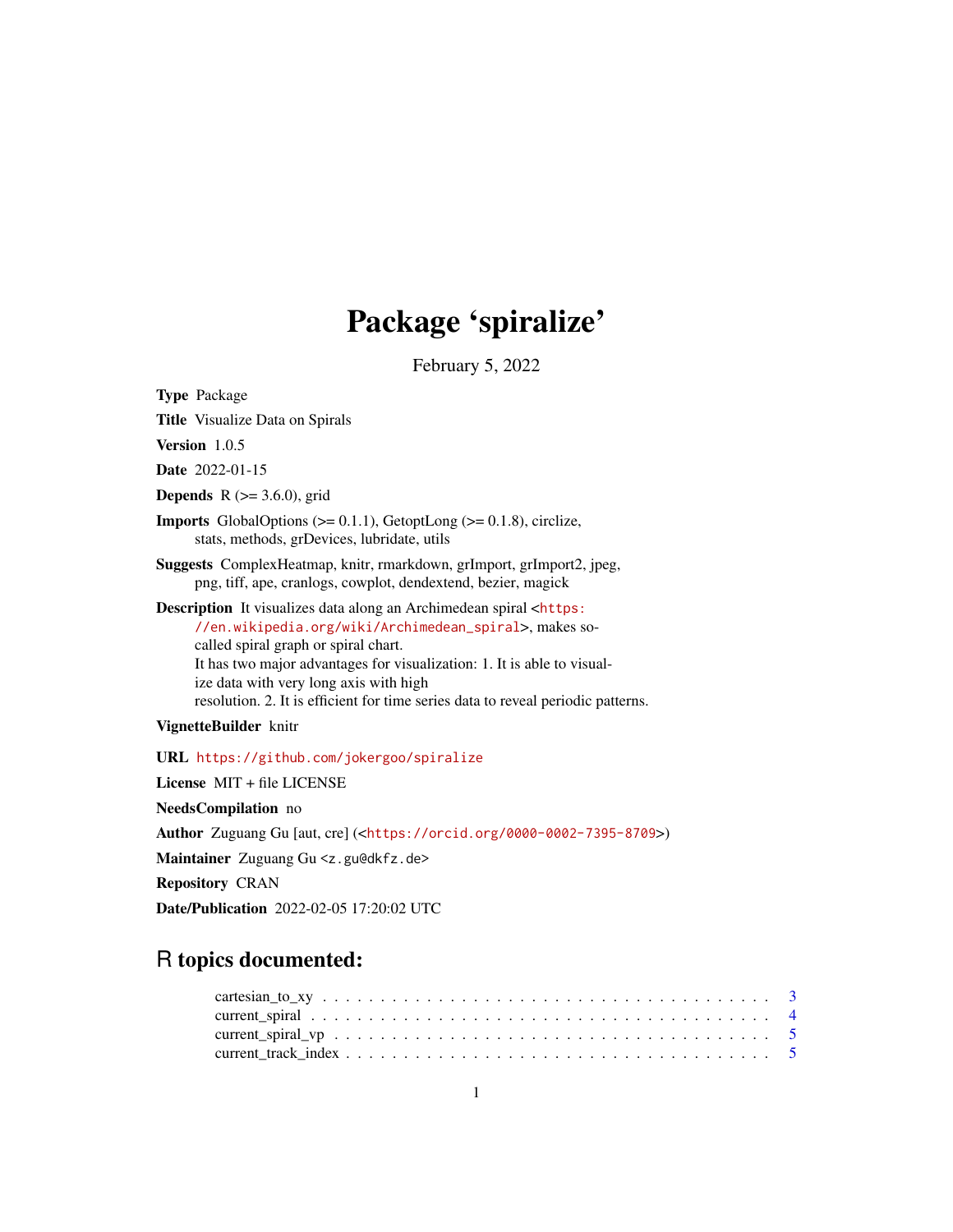# Package 'spiralize'

February 5, 2022

<span id="page-0-0"></span>

| <b>Type Package</b>                                                                                                                                                                                                                                                                                                                                                                                     |
|---------------------------------------------------------------------------------------------------------------------------------------------------------------------------------------------------------------------------------------------------------------------------------------------------------------------------------------------------------------------------------------------------------|
| <b>Title</b> Visualize Data on Spirals                                                                                                                                                                                                                                                                                                                                                                  |
| Version $1.0.5$                                                                                                                                                                                                                                                                                                                                                                                         |
| <b>Date</b> 2022-01-15                                                                                                                                                                                                                                                                                                                                                                                  |
| <b>Depends</b> $R$ ( $>=$ 3.6.0), grid                                                                                                                                                                                                                                                                                                                                                                  |
| <b>Imports</b> GlobalOptions $(>= 0.1.1)$ , GetoptLong $(>= 0.1.8)$ , circlize,<br>stats, methods, grDevices, lubridate, utils                                                                                                                                                                                                                                                                          |
| Suggests ComplexHeatmap, knitr, rmarkdown, grImport, grImport2, jpeg,<br>png, tiff, ape, cranlogs, cowplot, dendextend, bezier, magick                                                                                                                                                                                                                                                                  |
| <b>Description</b> It visualizes data along an Archimedean spiral <https:<br>//en.wikipedia.org/wiki/Archimedean_spiral&gt;, makes so-<br/>called spiral graph or spiral chart.<br/>It has two major advantages for visualization: 1. It is able to visual-<br/>ize data with very long axis with high<br/>resolution. 2. It is efficient for time series data to reveal periodic patterns.</https:<br> |
| VignetteBuilder knitr                                                                                                                                                                                                                                                                                                                                                                                   |
| URL https://github.com/jokergoo/spiralize                                                                                                                                                                                                                                                                                                                                                               |
| License MIT + file LICENSE                                                                                                                                                                                                                                                                                                                                                                              |
| NeedsCompilation no                                                                                                                                                                                                                                                                                                                                                                                     |
| Author Zuguang Gu [aut, cre] ( <https: 0000-0002-7395-8709="" orcid.org="">)</https:>                                                                                                                                                                                                                                                                                                                   |
| Maintainer Zuguang Gu <z.gu@dkfz.de></z.gu@dkfz.de>                                                                                                                                                                                                                                                                                                                                                     |
|                                                                                                                                                                                                                                                                                                                                                                                                         |

Repository CRAN

Date/Publication 2022-02-05 17:20:02 UTC

## R topics documented: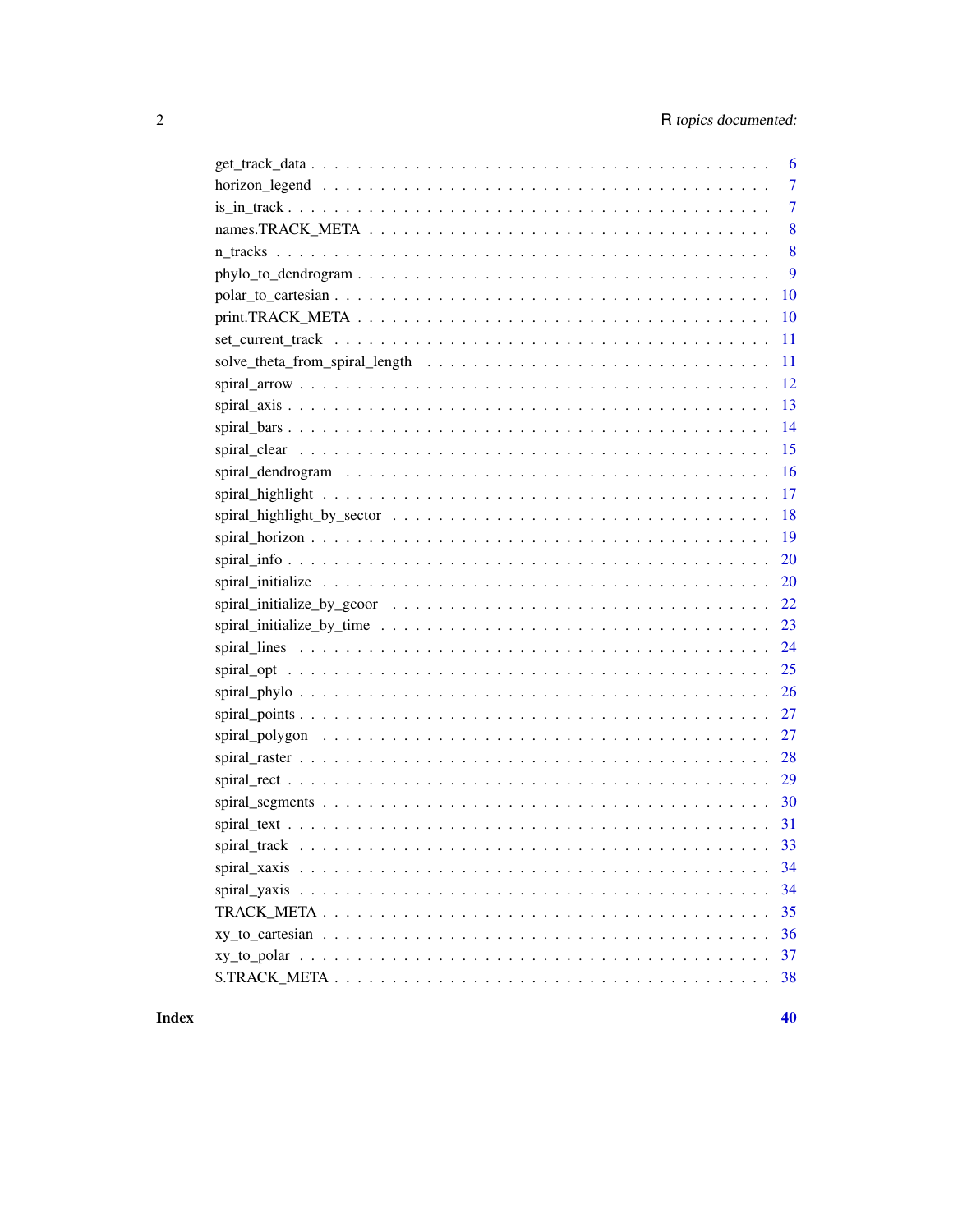| 6                                                                                                                      |
|------------------------------------------------------------------------------------------------------------------------|
| $\overline{7}$                                                                                                         |
| 7                                                                                                                      |
| 8                                                                                                                      |
| 8                                                                                                                      |
| 9                                                                                                                      |
| 10                                                                                                                     |
| 10                                                                                                                     |
| 11                                                                                                                     |
| 11                                                                                                                     |
| 12                                                                                                                     |
| <sup>13</sup>                                                                                                          |
| 14                                                                                                                     |
| 15                                                                                                                     |
| 16                                                                                                                     |
| 17                                                                                                                     |
| 18                                                                                                                     |
|                                                                                                                        |
| 20                                                                                                                     |
| 20                                                                                                                     |
| 22<br>spiral_initialize_by_gcoor $\ldots \ldots \ldots \ldots \ldots \ldots \ldots \ldots \ldots \ldots \ldots \ldots$ |
| 23                                                                                                                     |
| 24                                                                                                                     |
|                                                                                                                        |
|                                                                                                                        |
|                                                                                                                        |
| 27                                                                                                                     |
| 28                                                                                                                     |
|                                                                                                                        |
|                                                                                                                        |
|                                                                                                                        |
|                                                                                                                        |
| 34                                                                                                                     |
| 34                                                                                                                     |
| 35                                                                                                                     |
| 36                                                                                                                     |
| 37                                                                                                                     |
| 38                                                                                                                     |

## **Index**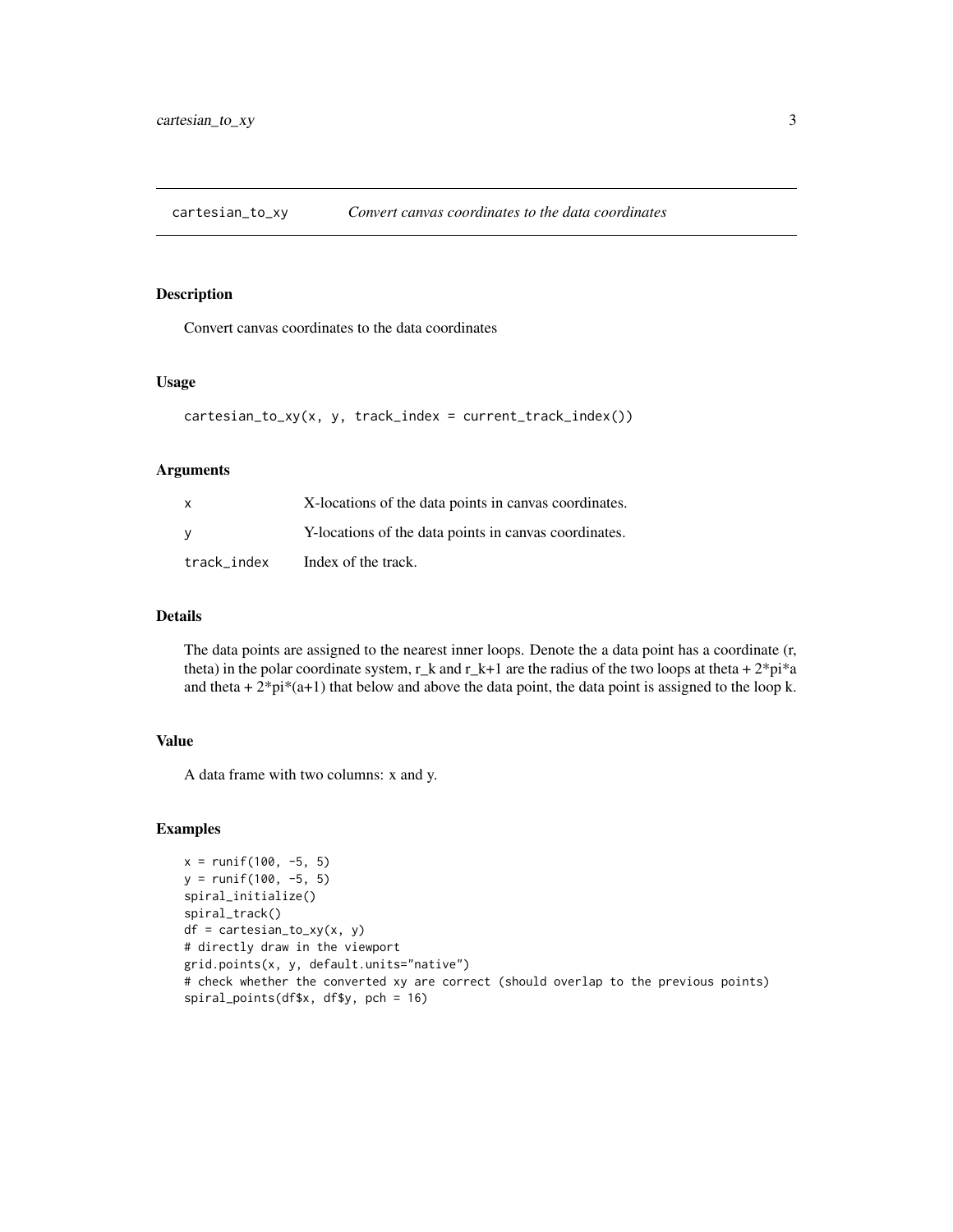<span id="page-2-0"></span>cartesian\_to\_xy *Convert canvas coordinates to the data coordinates*

#### Description

Convert canvas coordinates to the data coordinates

#### Usage

```
cartesian_to_xy(x, y, track_index = current_track_index())
```
## Arguments

| $\mathsf{x}$ | X-locations of the data points in canvas coordinates. |
|--------------|-------------------------------------------------------|
| <b>V</b>     | Y-locations of the data points in canvas coordinates. |
| track_index  | Index of the track.                                   |

## Details

The data points are assigned to the nearest inner loops. Denote the a data point has a coordinate (r, theta) in the polar coordinate system,  $r_{\rm k}$  and  $r_{\rm k+1}$  are the radius of the two loops at theta +  $2\sigma\gamma$ i\*a and theta  $+ 2^{*}$ pi $*(a+1)$  that below and above the data point, the data point is assigned to the loop k.

#### Value

A data frame with two columns: x and y.

```
x = runif(100, -5, 5)y = runif(100, -5, 5)spiral_initialize()
spiral_track()
df = cartesian_to_xy(x, y)# directly draw in the viewport
grid.points(x, y, default.units="native")
# check whether the converted xy are correct (should overlap to the previous points)
spiral_points(df$x, df$y, pch = 16)
```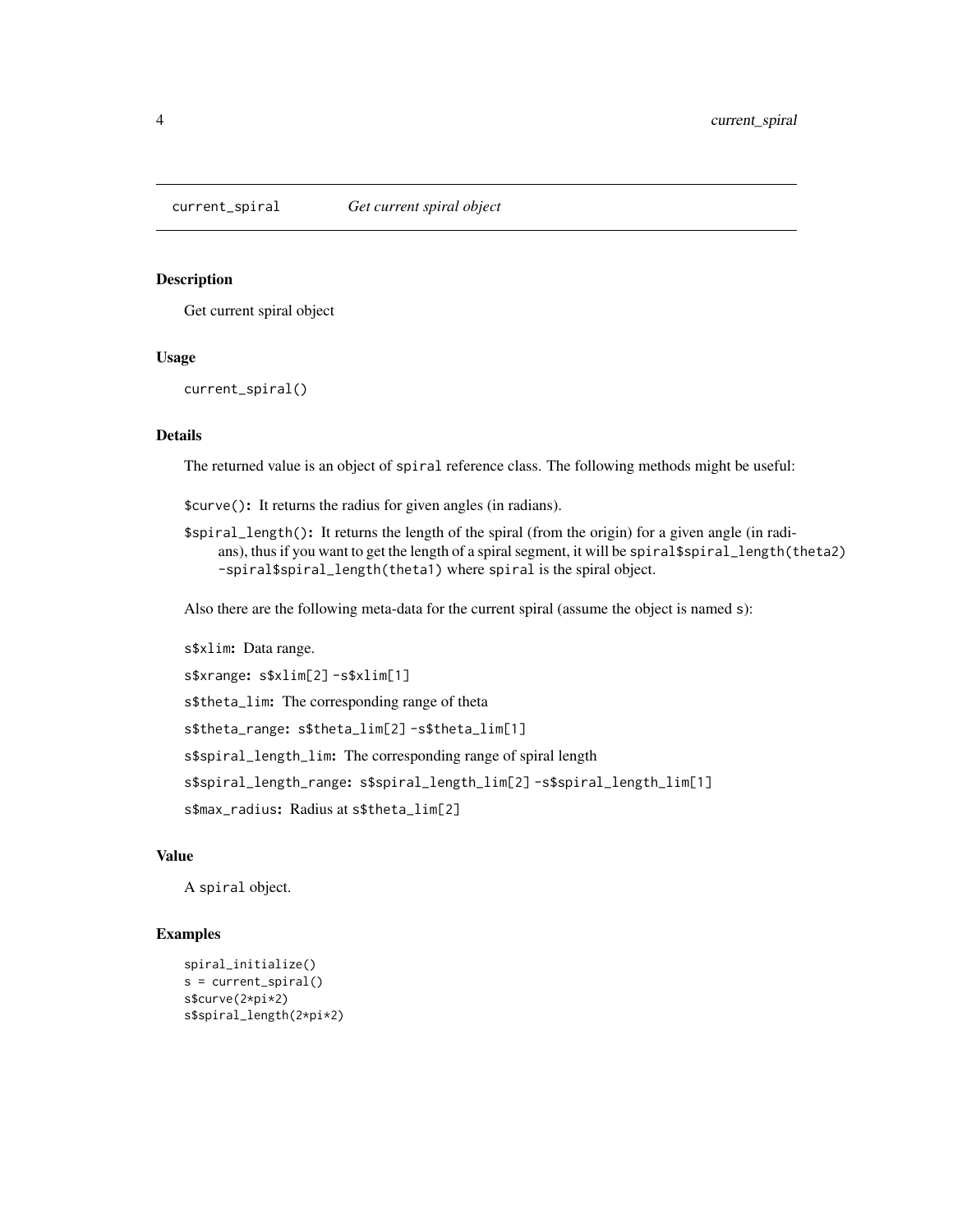<span id="page-3-0"></span>

#### Description

Get current spiral object

## Usage

current\_spiral()

## Details

The returned value is an object of spiral reference class. The following methods might be useful:

\$curve(): It returns the radius for given angles (in radians).

\$spiral\_length(): It returns the length of the spiral (from the origin) for a given angle (in radians), thus if you want to get the length of a spiral segment, it will be spiral \$spiral\_length(theta2) -spiral\$spiral\_length(theta1) where spiral is the spiral object.

Also there are the following meta-data for the current spiral (assume the object is named s):

s\$xlim: Data range.

s\$xrange: s\$xlim[2] -s\$xlim[1]

s\$theta\_lim: The corresponding range of theta

s\$theta\_range: s\$theta\_lim[2] -s\$theta\_lim[1]

s\$spiral\_length\_lim: The corresponding range of spiral length

s\$spiral\_length\_range: s\$spiral\_length\_lim[2] -s\$spiral\_length\_lim[1]

s\$max\_radius: Radius at s\$theta\_lim[2]

## Value

A spiral object.

```
spiral_initialize()
s = current_spiral()
s$curve(2*pi*2)
s$spiral_length(2*pi*2)
```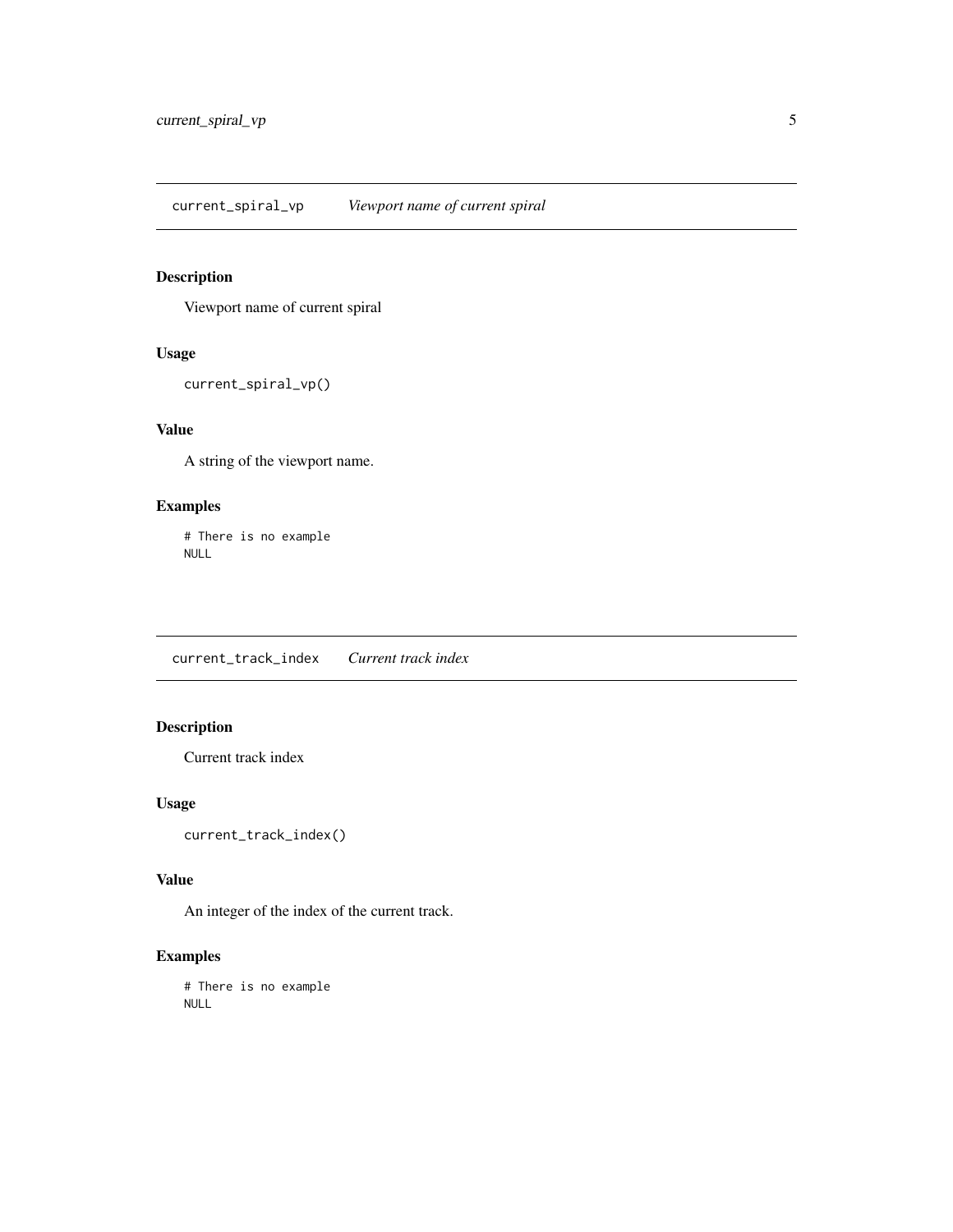<span id="page-4-0"></span>current\_spiral\_vp *Viewport name of current spiral*

## Description

Viewport name of current spiral

## Usage

current\_spiral\_vp()

## Value

A string of the viewport name.

## Examples

# There is no example NULL

current\_track\_index *Current track index*

## Description

Current track index

## Usage

current\_track\_index()

## Value

An integer of the index of the current track.

## Examples

# There is no example NULL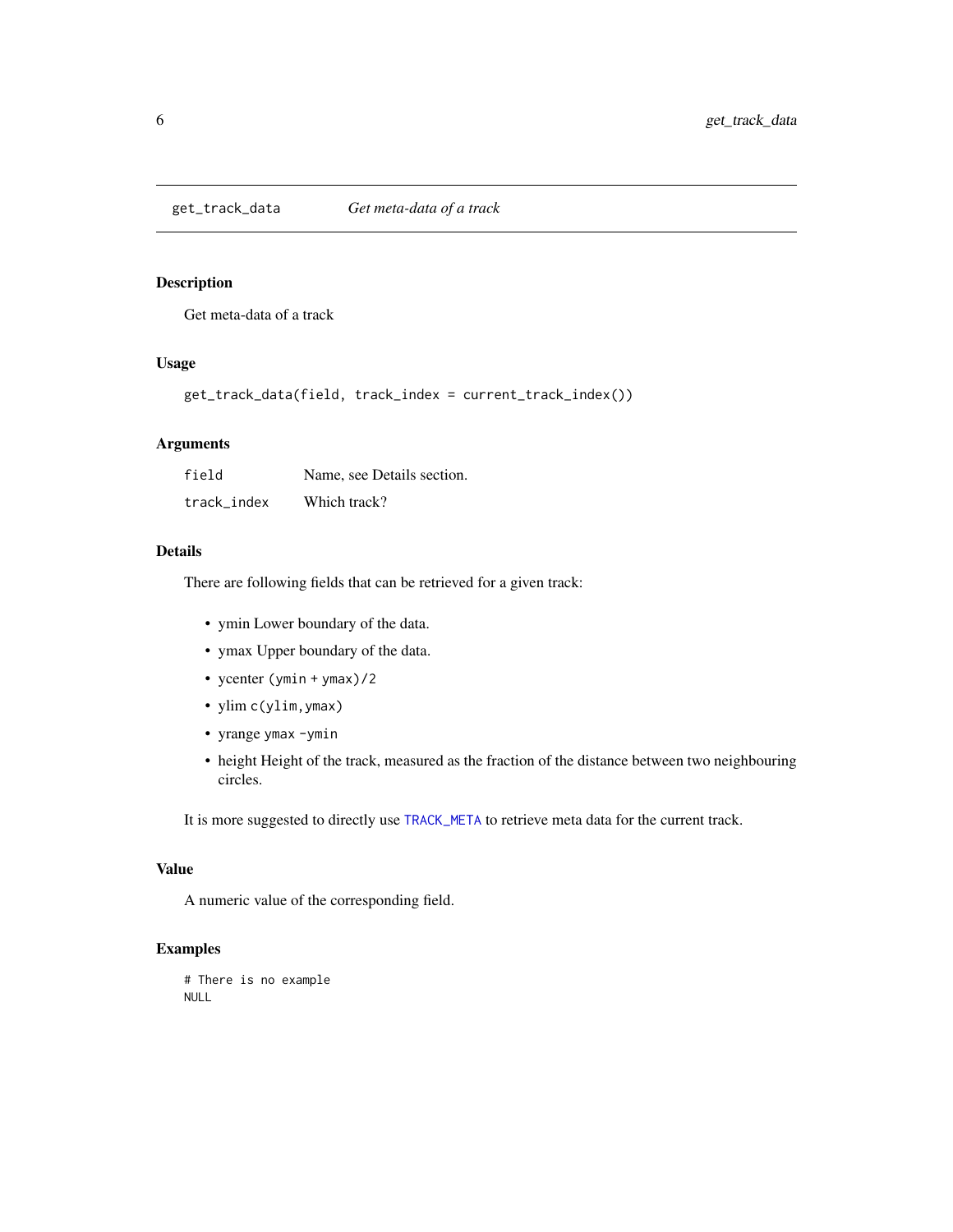<span id="page-5-0"></span>get\_track\_data *Get meta-data of a track*

## Description

Get meta-data of a track

## Usage

get\_track\_data(field, track\_index = current\_track\_index())

#### Arguments

| field       | Name, see Details section. |
|-------------|----------------------------|
| track index | Which track?               |

## Details

There are following fields that can be retrieved for a given track:

- ymin Lower boundary of the data.
- ymax Upper boundary of the data.
- ycenter (ymin + ymax)/2
- ylim c(ylim,ymax)
- yrange ymax -ymin
- height Height of the track, measured as the fraction of the distance between two neighbouring circles.

It is more suggested to directly use [TRACK\\_META](#page-34-1) to retrieve meta data for the current track.

## Value

A numeric value of the corresponding field.

```
# There is no example
NULL
```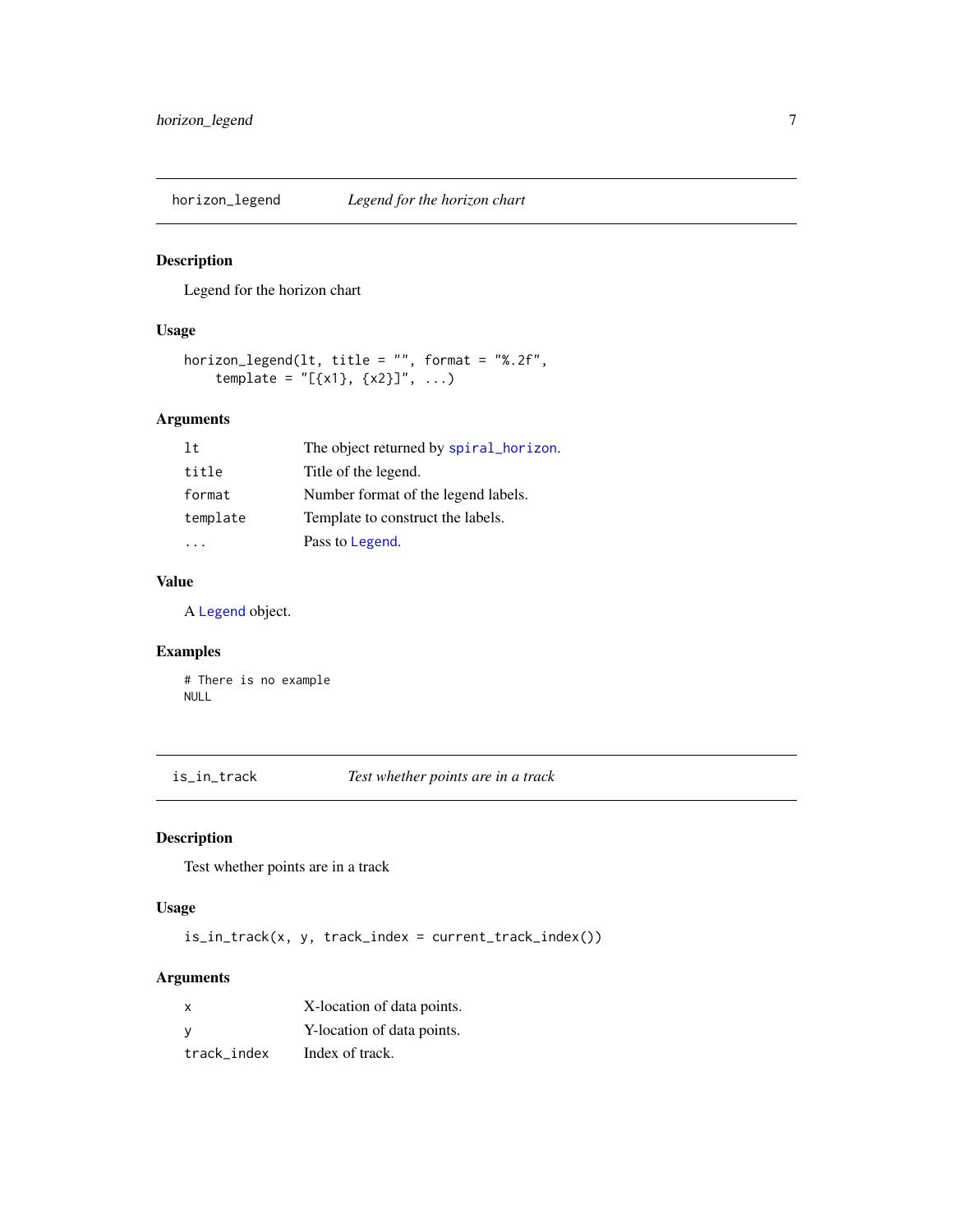<span id="page-6-0"></span>

#### Description

Legend for the horizon chart

## Usage

```
horizon_legend(lt, title = "", format = "%.2f",
    template = "[\{x1\}, \{x2\}]", ...)
```
## Arguments

| 1t.      | The object returned by spiral_horizon. |
|----------|----------------------------------------|
| title    | Title of the legend.                   |
| format   | Number format of the legend labels.    |
| template | Template to construct the labels.      |
|          | Pass to Legend.                        |

## Value

A [Legend](#page-0-0) object.

## Examples

# There is no example NULL

is\_in\_track *Test whether points are in a track*

## Description

Test whether points are in a track

## Usage

is\_in\_track(x, y, track\_index = current\_track\_index())

## Arguments

| X           | X-location of data points. |
|-------------|----------------------------|
| - V         | Y-location of data points. |
| track index | Index of track.            |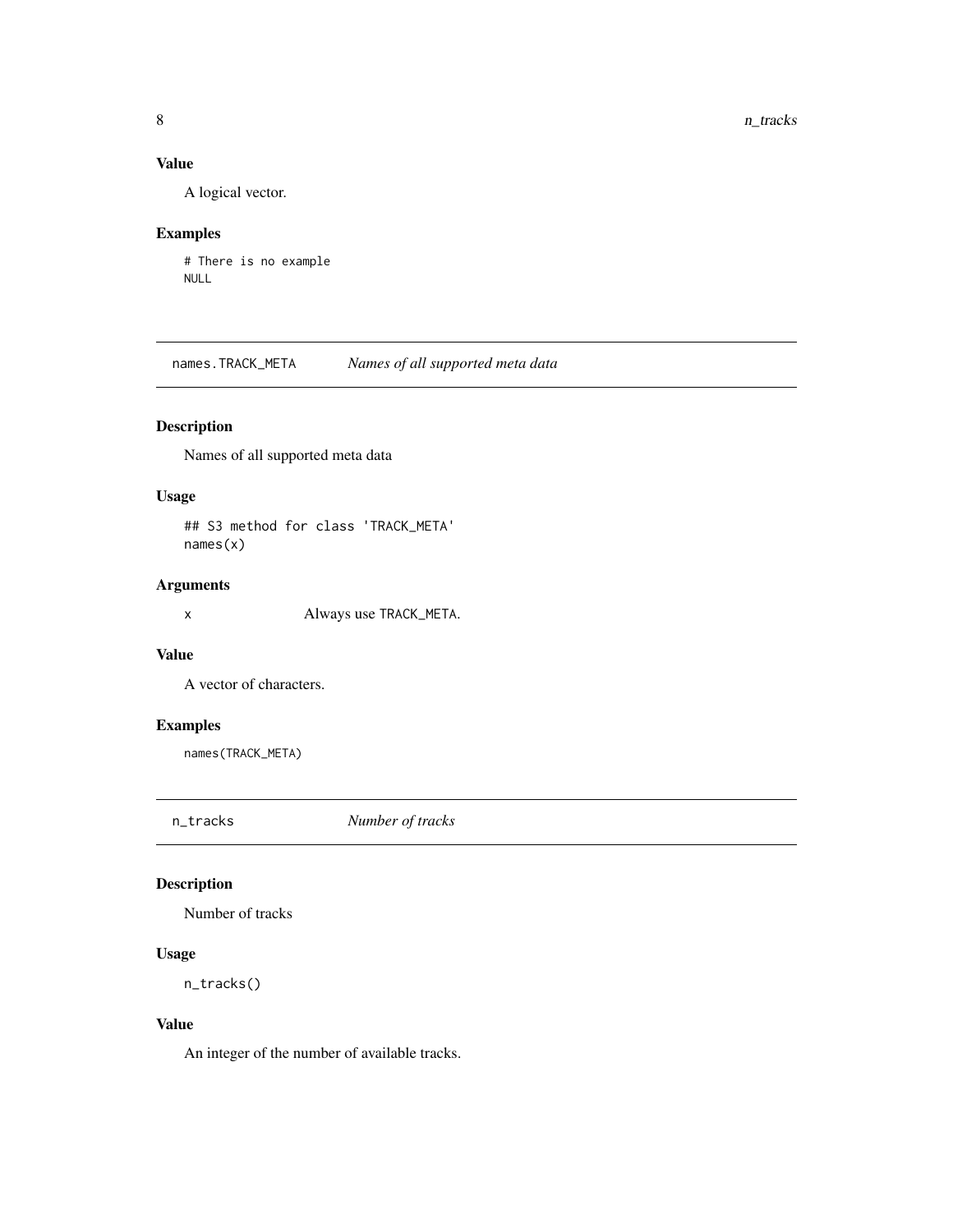## <span id="page-7-0"></span>Value

A logical vector.

## Examples

# There is no example NULL

names.TRACK\_META *Names of all supported meta data*

## Description

Names of all supported meta data

## Usage

## S3 method for class 'TRACK\_META' names(x)

## Arguments

x Always use TRACK\_META.

## Value

A vector of characters.

## Examples

names(TRACK\_META)

n\_tracks *Number of tracks*

## Description

Number of tracks

## Usage

n\_tracks()

#### Value

An integer of the number of available tracks.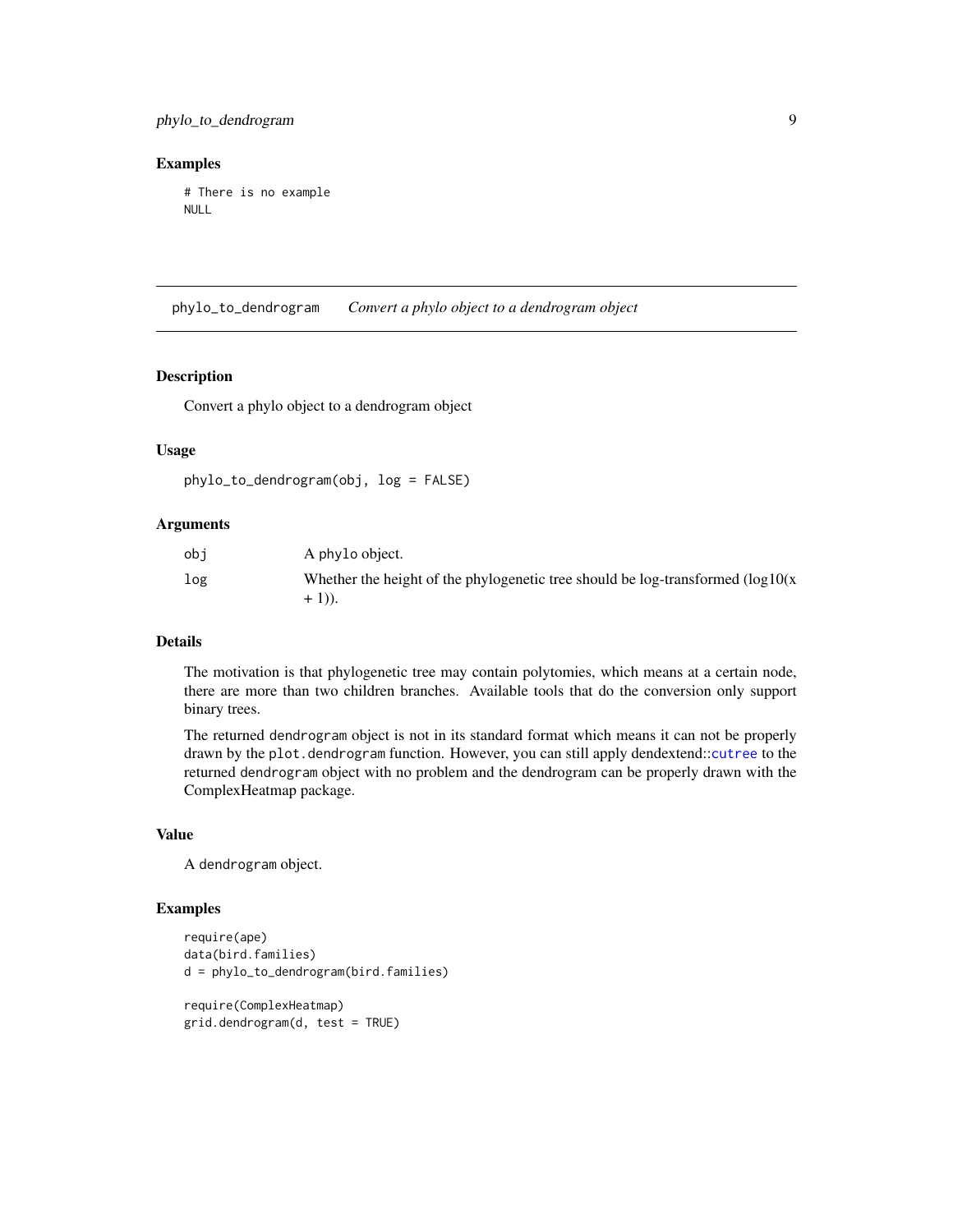#### <span id="page-8-0"></span>Examples

# There is no example NULL

phylo\_to\_dendrogram *Convert a phylo object to a dendrogram object*

## Description

Convert a phylo object to a dendrogram object

#### Usage

```
phylo_to_dendrogram(obj, log = FALSE)
```
## Arguments

| obi | A phylo object.                                                                                  |
|-----|--------------------------------------------------------------------------------------------------|
| log | Whether the height of the phylogenetic tree should be log-transformed $(\log 10(x))$<br>$+1)$ ). |

#### Details

The motivation is that phylogenetic tree may contain polytomies, which means at a certain node, there are more than two children branches. Available tools that do the conversion only support binary trees.

The returned dendrogram object is not in its standard format which means it can not be properly drawn by the plot.dendrogram function. However, you can still apply dendextend::[cutree](#page-0-0) to the returned dendrogram object with no problem and the dendrogram can be properly drawn with the ComplexHeatmap package.

#### Value

A dendrogram object.

```
require(ape)
data(bird.families)
d = phylo_to_dendrogram(bird.families)
require(ComplexHeatmap)
grid.dendrogram(d, test = TRUE)
```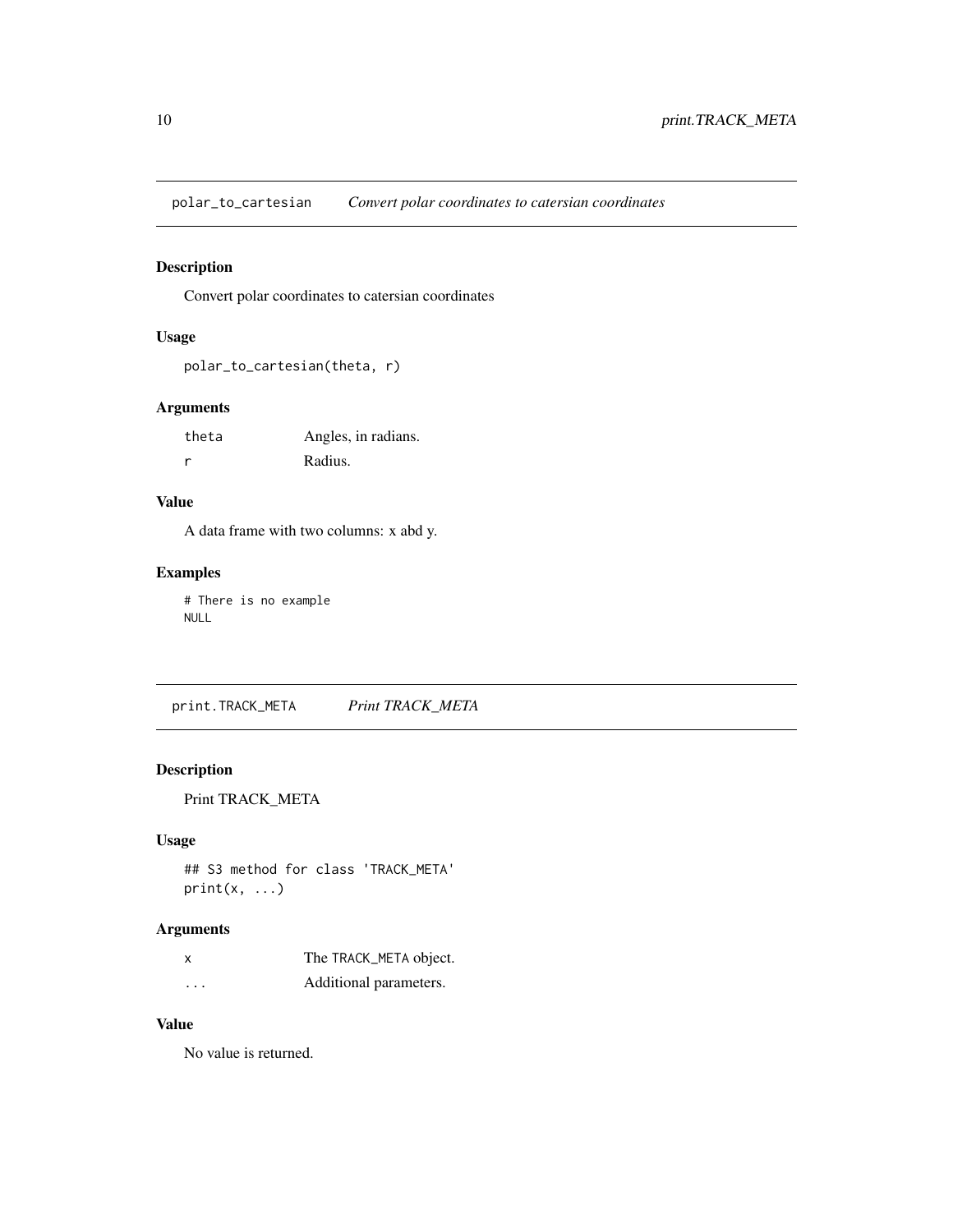<span id="page-9-0"></span>polar\_to\_cartesian *Convert polar coordinates to catersian coordinates*

## Description

Convert polar coordinates to catersian coordinates

## Usage

```
polar_to_cartesian(theta, r)
```
## Arguments

| theta | Angles, in radians. |
|-------|---------------------|
| r     | Radius.             |

## Value

A data frame with two columns: x abd y.

## Examples

# There is no example NULL

print.TRACK\_META *Print TRACK\_META*

## Description

Print TRACK\_META

## Usage

```
## S3 method for class 'TRACK_META'
print(x, \ldots)
```
## Arguments

| x        | The TRACK_META object. |
|----------|------------------------|
| $\cdots$ | Additional parameters. |

#### Value

No value is returned.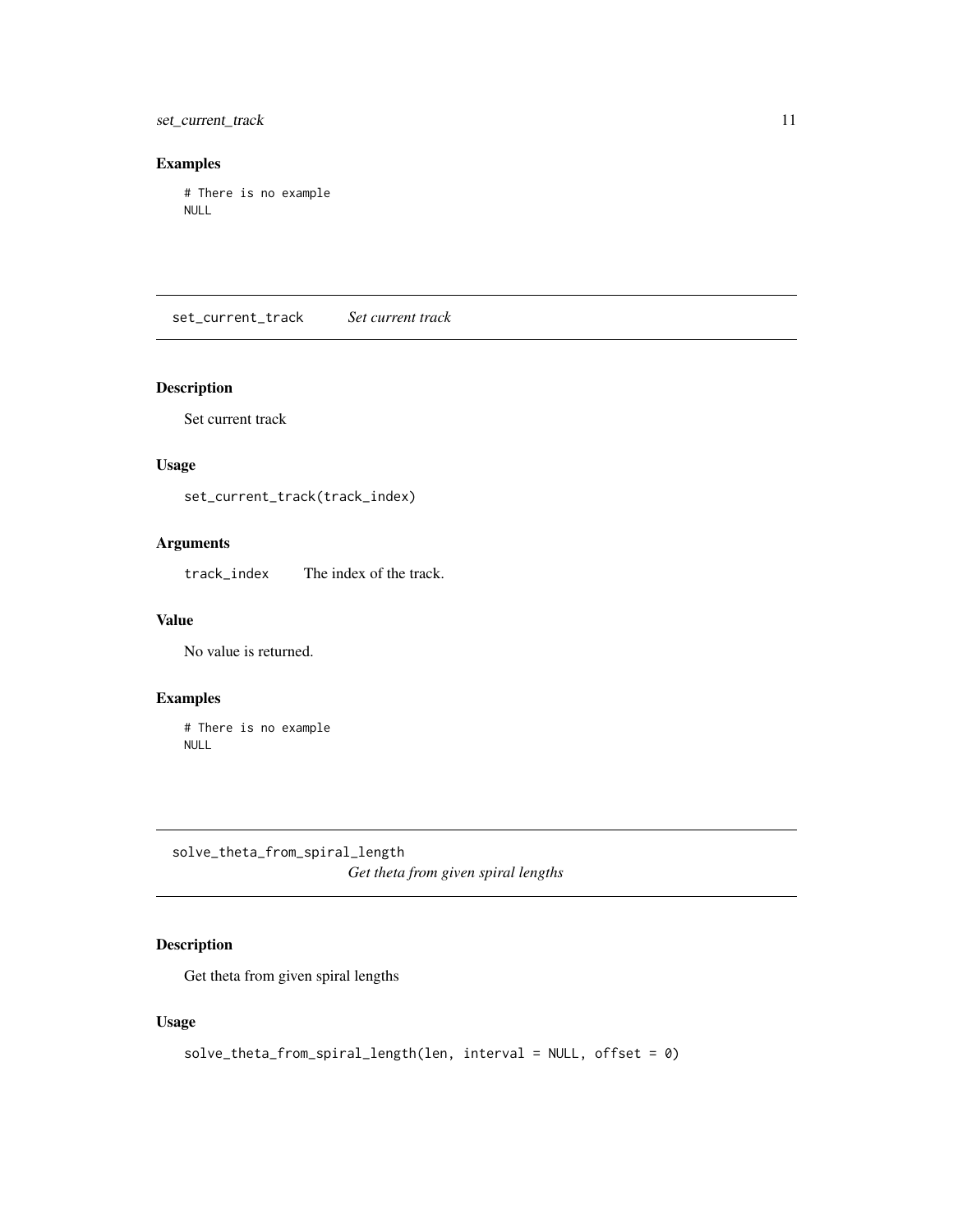<span id="page-10-0"></span>set\_current\_track 11

## Examples

# There is no example NULL

<span id="page-10-2"></span>set\_current\_track *Set current track*

## Description

Set current track

## Usage

set\_current\_track(track\_index)

## Arguments

track\_index The index of the track.

#### Value

No value is returned.

## Examples

# There is no example NULL

<span id="page-10-1"></span>solve\_theta\_from\_spiral\_length *Get theta from given spiral lengths*

## Description

Get theta from given spiral lengths

```
solve_theta_from_spiral_length(len, interval = NULL, offset = 0)
```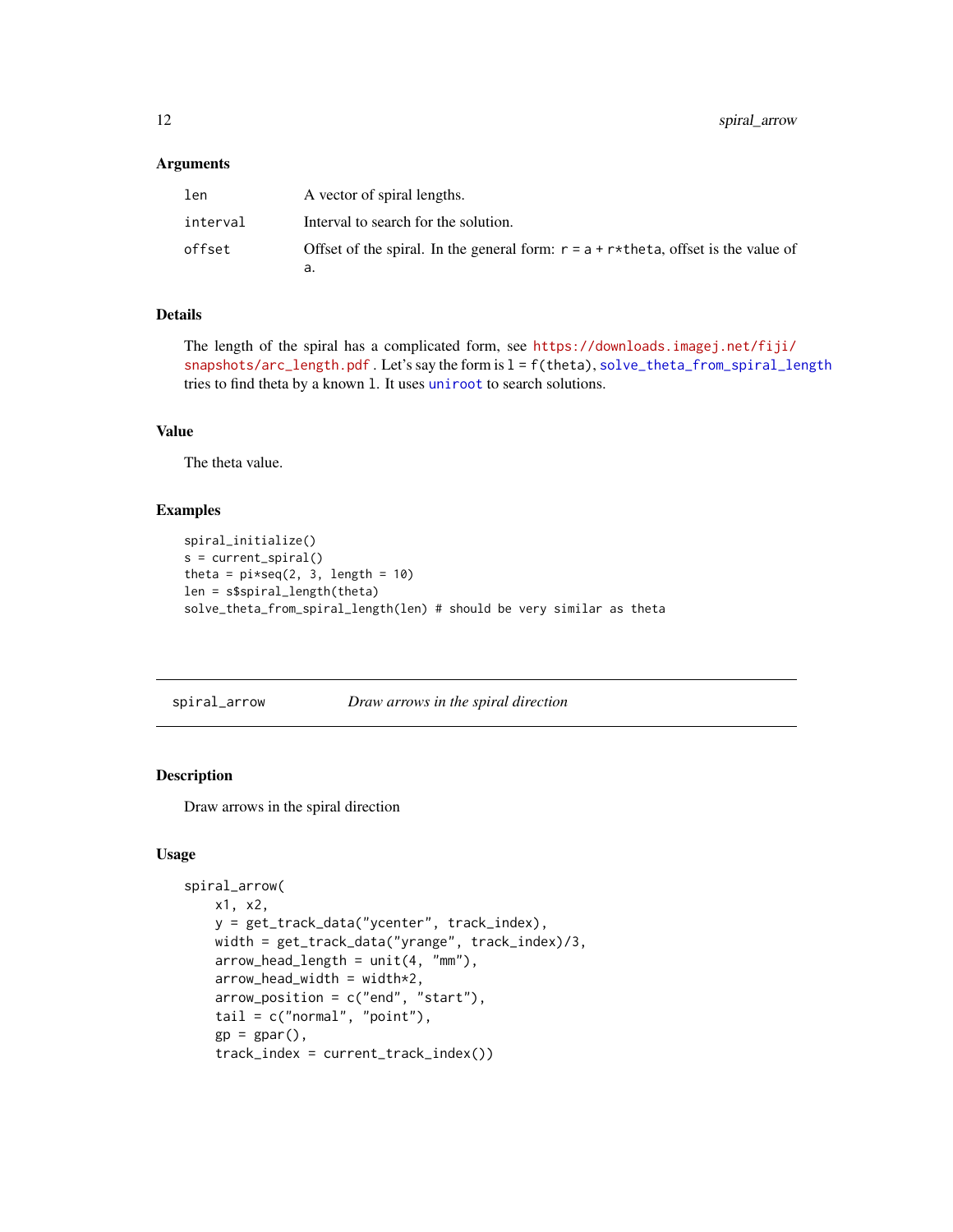#### <span id="page-11-0"></span>Arguments

| len      | A vector of spiral lengths.                                                           |
|----------|---------------------------------------------------------------------------------------|
| interval | Interval to search for the solution.                                                  |
| offset   | Offset of the spiral. In the general form: $r = a + r$ the ta, offset is the value of |
|          | a.                                                                                    |

## Details

The length of the spiral has a complicated form, see [https://downloads.imagej.net/fiji/](https://downloads.imagej.net/fiji/snapshots/arc_length.pdf) [snapshots/arc\\_length.pdf](https://downloads.imagej.net/fiji/snapshots/arc_length.pdf) . Let's say the form is l = f(theta), [solve\\_theta\\_from\\_spiral\\_length](#page-10-1) tries to find theta by a known l. It uses [uniroot](#page-0-0) to search solutions.

#### Value

The theta value.

#### Examples

```
spiral_initialize()
s = current_spiral()
theta = pi*seq(2, 3, length = 10)len = s$spiral_length(theta)
solve_theta_from_spiral_length(len) # should be very similar as theta
```
spiral\_arrow *Draw arrows in the spiral direction*

#### Description

Draw arrows in the spiral direction

```
spiral_arrow(
   x1, x2,
    y = get_track_data("ycenter", track_index),
   width = get_track_data("yrange", track_index)/3,
    arrow\_head\_length = unit(4, "mm"),
    arrow\_head\_width = width*2,arrow\_position = c("end", "start"),tail = c("normal", "point"),gp = gpar(),
    track_index = current_track_index())
```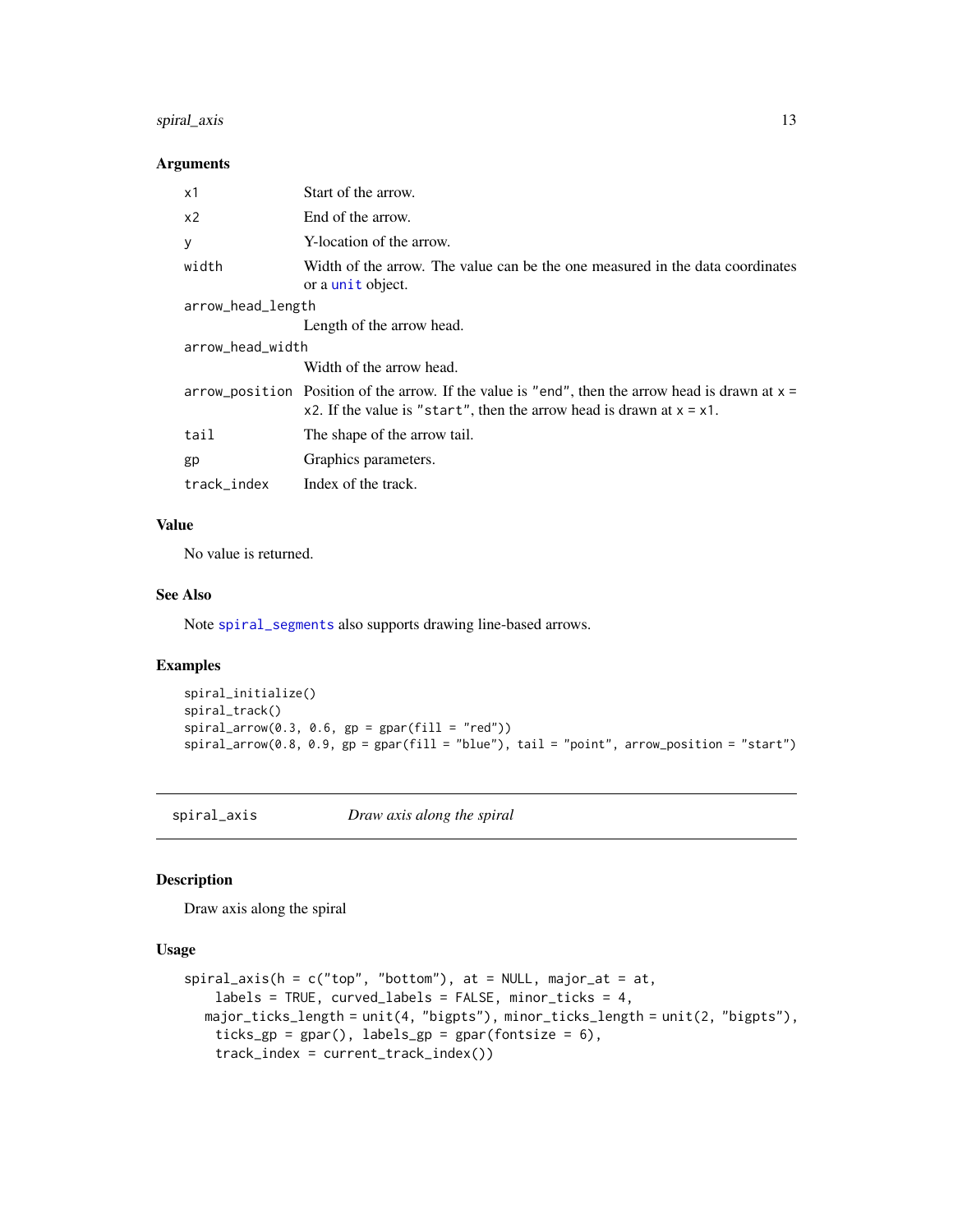## <span id="page-12-0"></span>spiral\_axis 13

## Arguments

| Start of the arrow.                                                                                                                                                           |
|-------------------------------------------------------------------------------------------------------------------------------------------------------------------------------|
| End of the arrow.                                                                                                                                                             |
| Y-location of the arrow.                                                                                                                                                      |
| Width of the arrow. The value can be the one measured in the data coordinates<br>or a unit object.                                                                            |
| arrow_head_length                                                                                                                                                             |
| Length of the arrow head.                                                                                                                                                     |
| arrow_head_width                                                                                                                                                              |
| Width of the arrow head.                                                                                                                                                      |
| arrow_position Position of the arrow. If the value is "end", then the arrow head is drawn at $x =$<br>x2. If the value is "start", then the arrow head is drawn at $x = x1$ . |
| The shape of the arrow tail.                                                                                                                                                  |
| Graphics parameters.                                                                                                                                                          |
| Index of the track.                                                                                                                                                           |
|                                                                                                                                                                               |

#### Value

No value is returned.

#### See Also

Note [spiral\\_segments](#page-29-1) also supports drawing line-based arrows.

## Examples

```
spiral_initialize()
spiral_track()
spiral_arrow(0.3, 0.6, gp = gpar(fill = "red"))spiral_arrow(0.8, 0.9, gp = gpar(fill = "blue"), tail = "point", arrow_position = "start")
```
<span id="page-12-1"></span>spiral\_axis *Draw axis along the spiral*

#### Description

Draw axis along the spiral

```
spiral\_axis(h = c("top", "bottom"), at = NULL, major_at = at,labels = TRUE, curved_labels = FALSE, minor_ticks = 4,major_ticks_length = unit(4, "bigpts"), minor_ticks_length = unit(2, "bigpts"),
   ticks_gp = gpar(), labels_gp = gpar(fontsize = 6),
   track_index = current_track_index())
```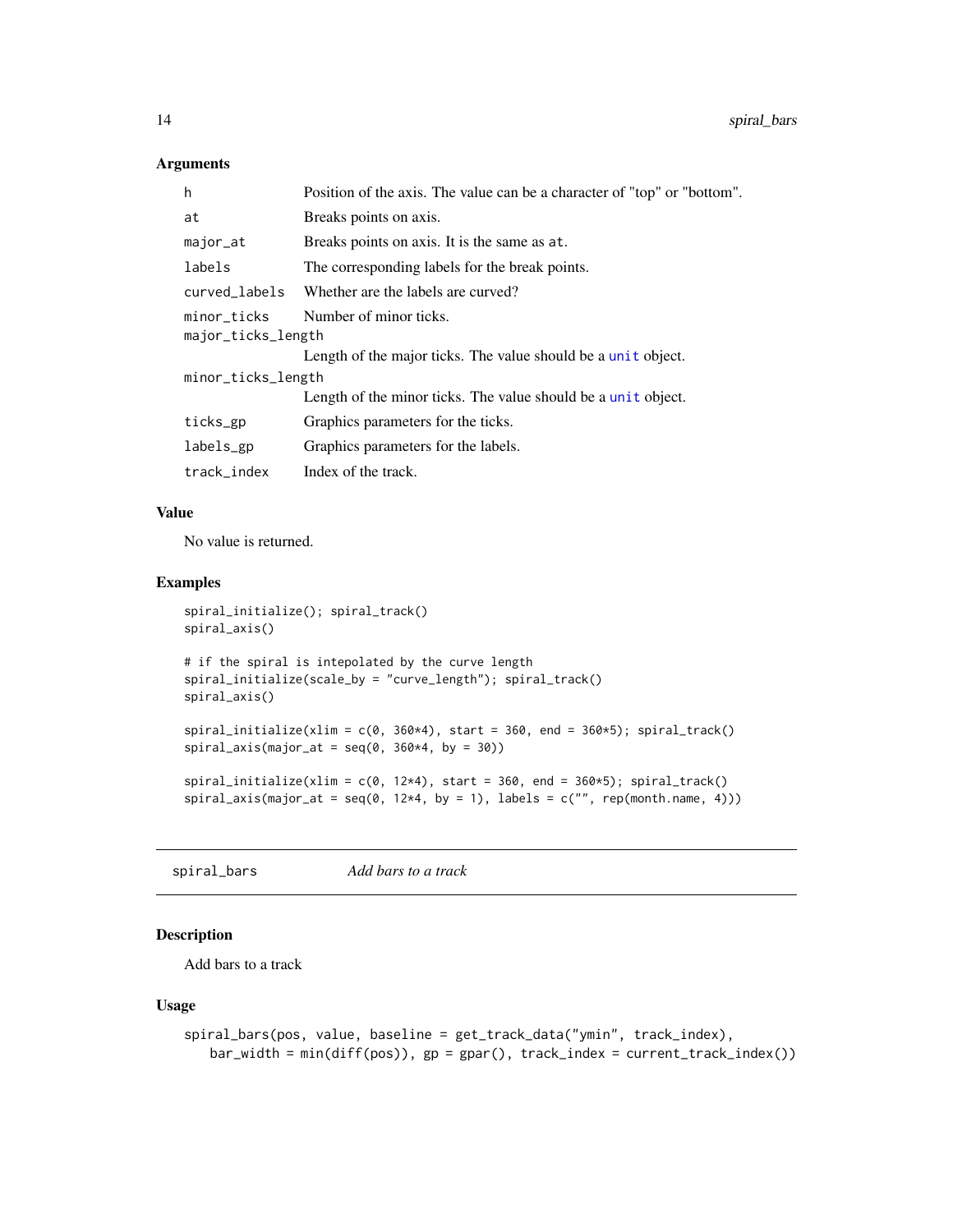#### <span id="page-13-0"></span>Arguments

| h                  | Position of the axis. The value can be a character of "top" or "bottom". |  |
|--------------------|--------------------------------------------------------------------------|--|
| at                 | Breaks points on axis.                                                   |  |
| major_at           | Breaks points on axis. It is the same as at.                             |  |
| labels             | The corresponding labels for the break points.                           |  |
| curved_labels      | Whether are the labels are curved?                                       |  |
| minor_ticks        | Number of minor ticks.                                                   |  |
| major_ticks_length |                                                                          |  |
|                    | Length of the major ticks. The value should be a unit object.            |  |
| minor_ticks_length |                                                                          |  |
|                    | Length of the minor ticks. The value should be a unit object.            |  |
| ticks_gp           | Graphics parameters for the ticks.                                       |  |
| labels_gp          | Graphics parameters for the labels.                                      |  |
| track_index        | Index of the track.                                                      |  |
|                    |                                                                          |  |

## Value

No value is returned.

## Examples

```
spiral_initialize(); spiral_track()
spiral_axis()
# if the spiral is intepolated by the curve length
spiral_initialize(scale_by = "curve_length"); spiral_track()
spiral_axis()
spiral_initialize(xlim = c(\emptyset, 360*4), start = 360, end = 360*5); spiral_track()
spiral_axis(major_at = seq(0, 360*4, by = 30))spiral\_initialize(xlim = c(0, 12*4), start = 360, end = 360*5); spiral\_track()spiral_axis(major_at = seq(0, 12*4, by = 1), labels = c("", rep(month.name, 4)))
```
spiral\_bars *Add bars to a track*

## Description

Add bars to a track

```
spiral_bars(pos, value, baseline = get_track_data("ymin", track_index),
   bar_wwidth = min(diff(pos)), gp = gpar(), track_index = current_track_index())
```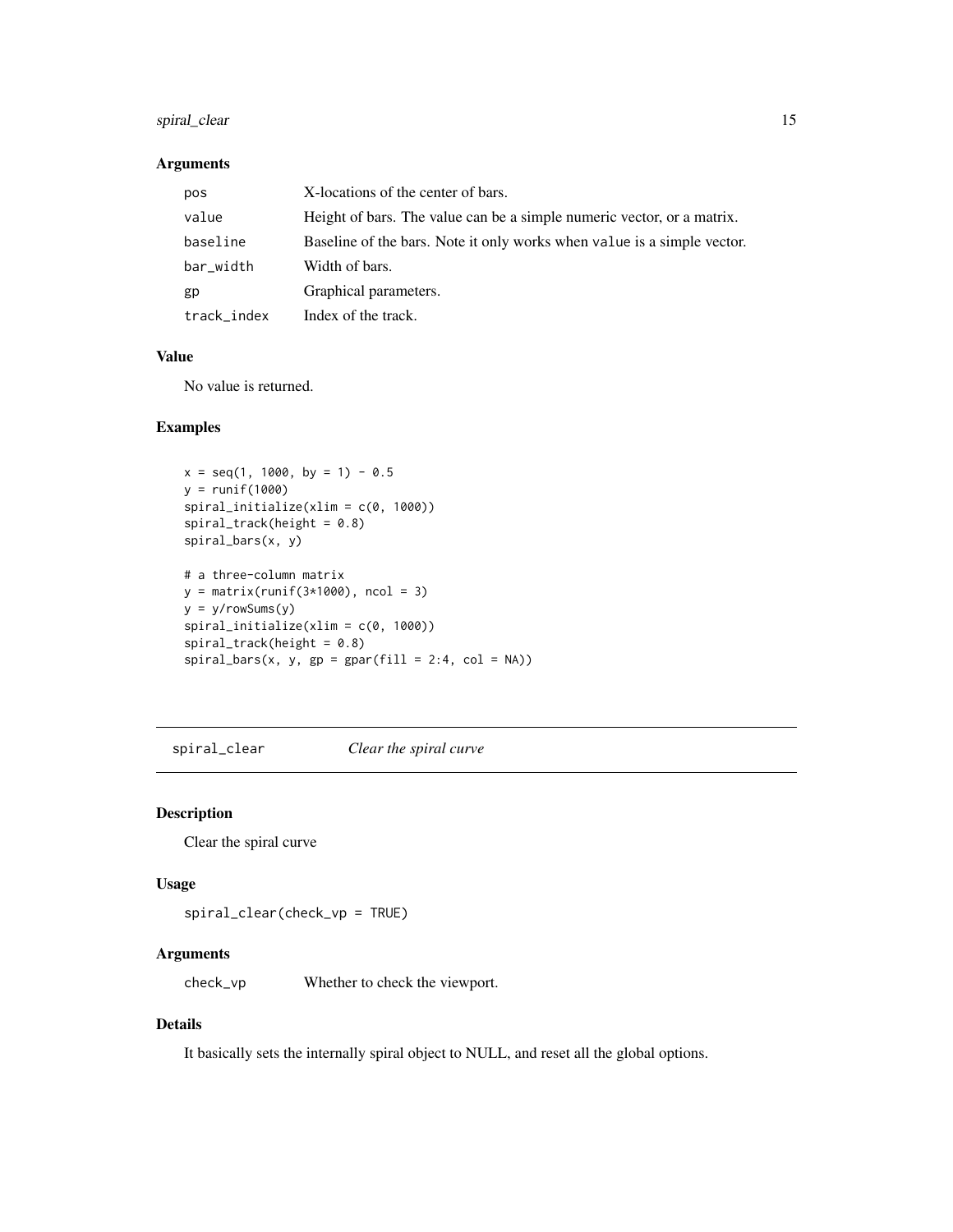## <span id="page-14-0"></span>spiral\_clear 15

#### Arguments

| pos         | X-locations of the center of bars.                                      |
|-------------|-------------------------------------------------------------------------|
| value       | Height of bars. The value can be a simple numeric vector, or a matrix.  |
| baseline    | Baseline of the bars. Note it only works when value is a simple vector. |
| bar_width   | Width of bars.                                                          |
| gp          | Graphical parameters.                                                   |
| track_index | Index of the track.                                                     |

#### Value

No value is returned.

## Examples

```
x = seq(1, 1000, by = 1) - 0.5y = runif(1000)spiral_initialize(xlim = c(0, 1000))
spiral\_track(height = 0.8)spiral_bars(x, y)
# a three-column matrix
y = matrix(runif(3*1000), ncol = 3)y = y/rowSums(y)
spiral_initialize(xlim = c(0, 1000))
spiral\_track(height = 0.8)spiral_bars(x, y, gp = gpar(fill = 2:4, col = NA))
```
spiral\_clear *Clear the spiral curve*

#### Description

Clear the spiral curve

#### Usage

```
spiral_clear(check_vp = TRUE)
```
## Arguments

check\_vp Whether to check the viewport.

## Details

It basically sets the internally spiral object to NULL, and reset all the global options.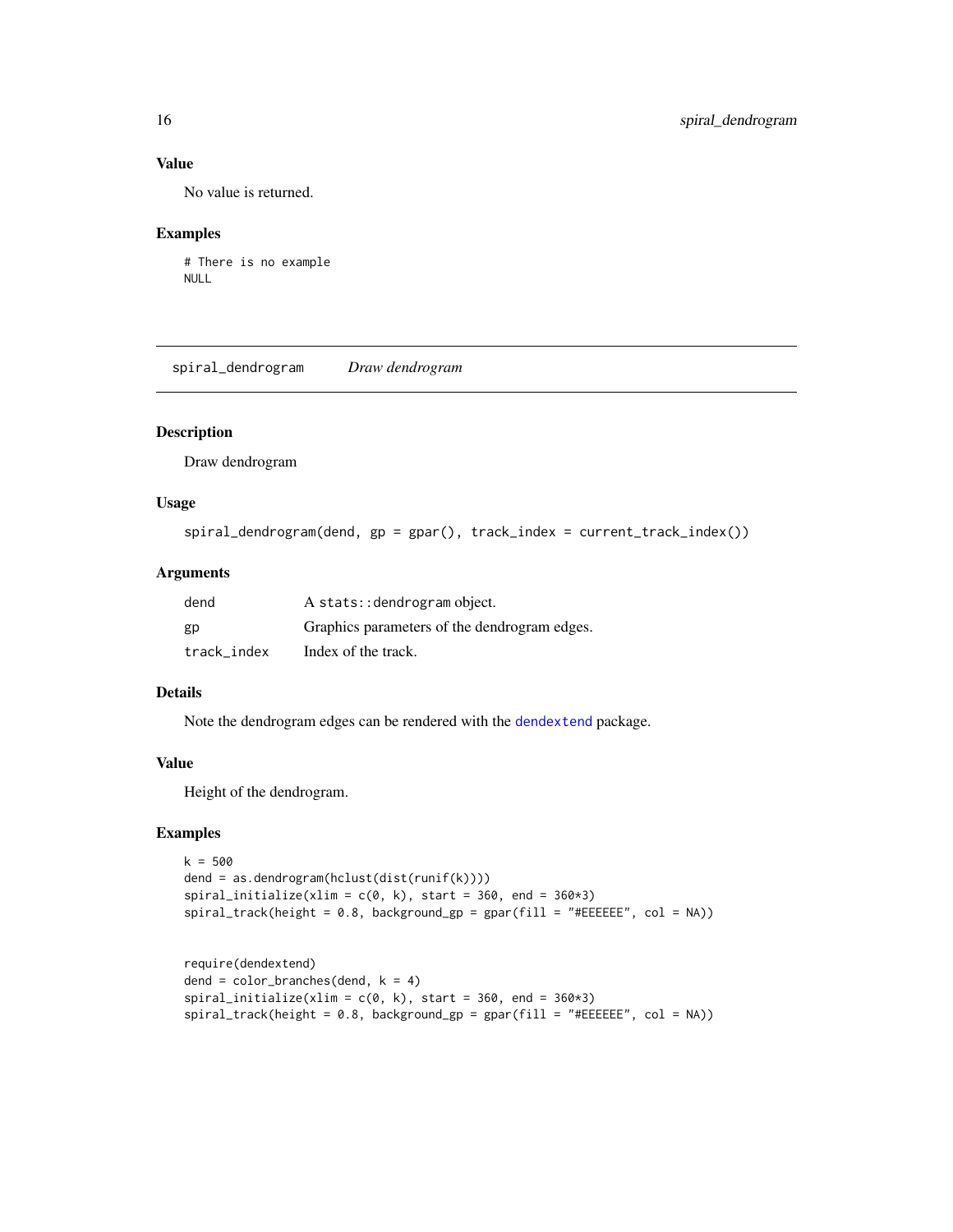## Value

No value is returned.

#### Examples

```
# There is no example
NULL
```
spiral\_dendrogram *Draw dendrogram*

## Description

Draw dendrogram

#### Usage

```
spiral_dendrogram(dend, gp = gpar(), track_index = current_track_index())
```
## Arguments

| dend        | A stats:: dendrogram object.                 |
|-------------|----------------------------------------------|
| gp          | Graphics parameters of the dendrogram edges. |
| track index | Index of the track.                          |

## Details

Note the dendrogram edges can be rendered with the [dendextend](#page-0-0) package.

## Value

Height of the dendrogram.

```
k = 500dend = as.dendrogram(hclust(dist(runif(k))))
spiral_initialize(xlim = c(\emptyset, k), start = 360, end = 360*3)
spiral_track(height = 0.8, background_gp = gpar(fill = "#EEEEEE", col = NA))
```

```
require(dendextend)
dend = color_branches(dend, k = 4)spiral_initialize(xlim = c(\emptyset, k), start = 360, end = 360*3)
spiral_track(height = 0.8, background_gp = gpar(fill = "#EEEEEE", col = NA))
```
<span id="page-15-0"></span>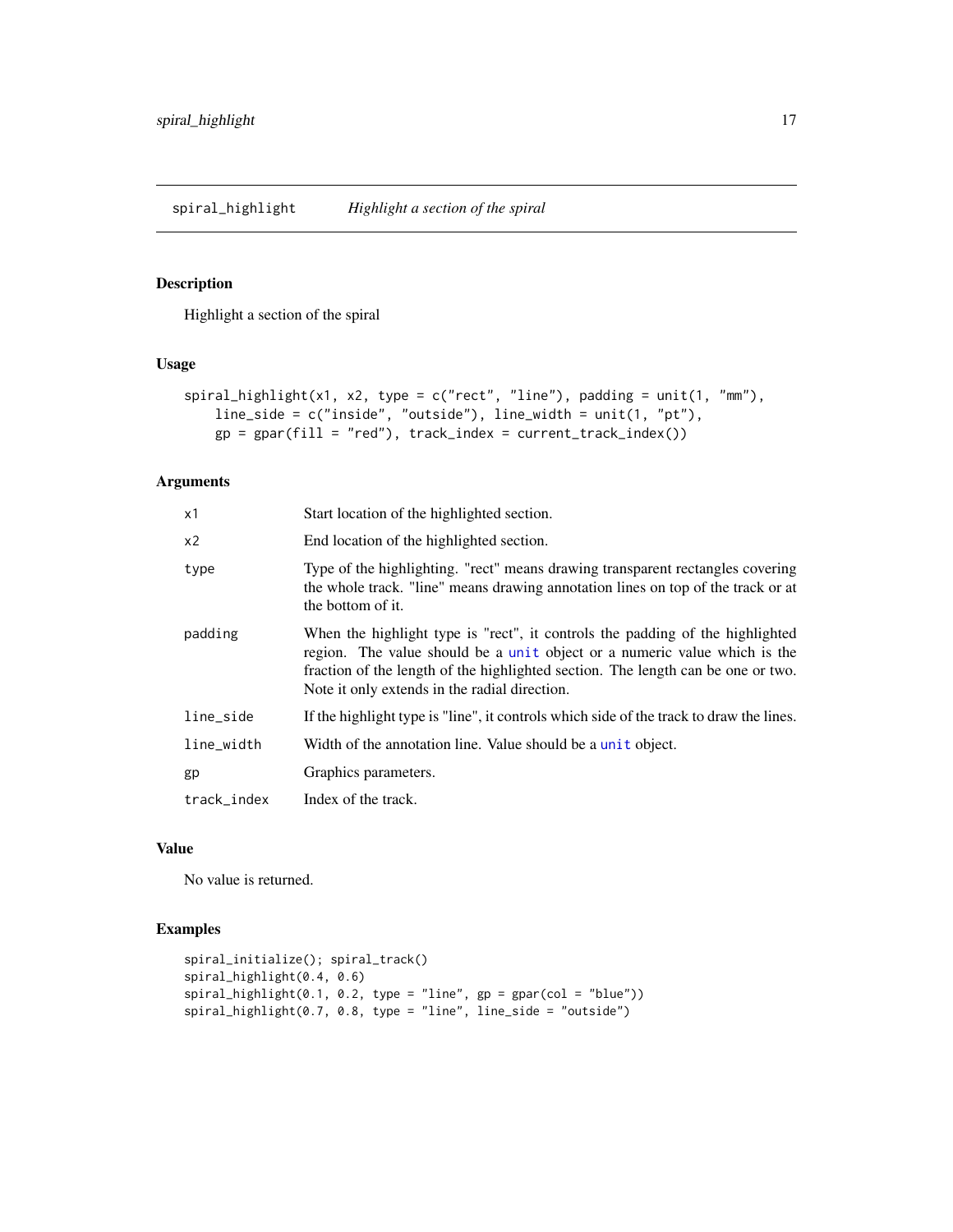## <span id="page-16-0"></span>Description

Highlight a section of the spiral

## Usage

```
spiral\_highlight(x1, x2, type = c("rect", "line"), padding = unit(1, "mm"),line_side = c("inside", "outside"), line_width = unit(1, "pt"),
   gp = gpar(fill = "red"), track_index = current_track_index())
```
#### Arguments

| x1          | Start location of the highlighted section.                                                                                                                                                                                                                                                      |
|-------------|-------------------------------------------------------------------------------------------------------------------------------------------------------------------------------------------------------------------------------------------------------------------------------------------------|
| x2          | End location of the highlighted section.                                                                                                                                                                                                                                                        |
| type        | Type of the highlighting. "rect" means drawing transparent rectangles covering<br>the whole track. "line" means drawing annotation lines on top of the track or at<br>the bottom of it.                                                                                                         |
| padding     | When the highlight type is "rect", it controls the padding of the highlighted<br>region. The value should be a unit object or a numeric value which is the<br>fraction of the length of the highlighted section. The length can be one or two.<br>Note it only extends in the radial direction. |
| line_side   | If the highlight type is "line", it controls which side of the track to draw the lines.                                                                                                                                                                                                         |
| line_width  | Width of the annotation line. Value should be a unit object.                                                                                                                                                                                                                                    |
| gp          | Graphics parameters.                                                                                                                                                                                                                                                                            |
| track_index | Index of the track.                                                                                                                                                                                                                                                                             |

## Value

No value is returned.

```
spiral_initialize(); spiral_track()
spiral_highlight(0.4, 0.6)
spiral_highlight(0.1, 0.2, type = "line", gp = gpar(col = "blue"))
spiral_highlight(0.7, 0.8, type = "line", line_side = "outside")
```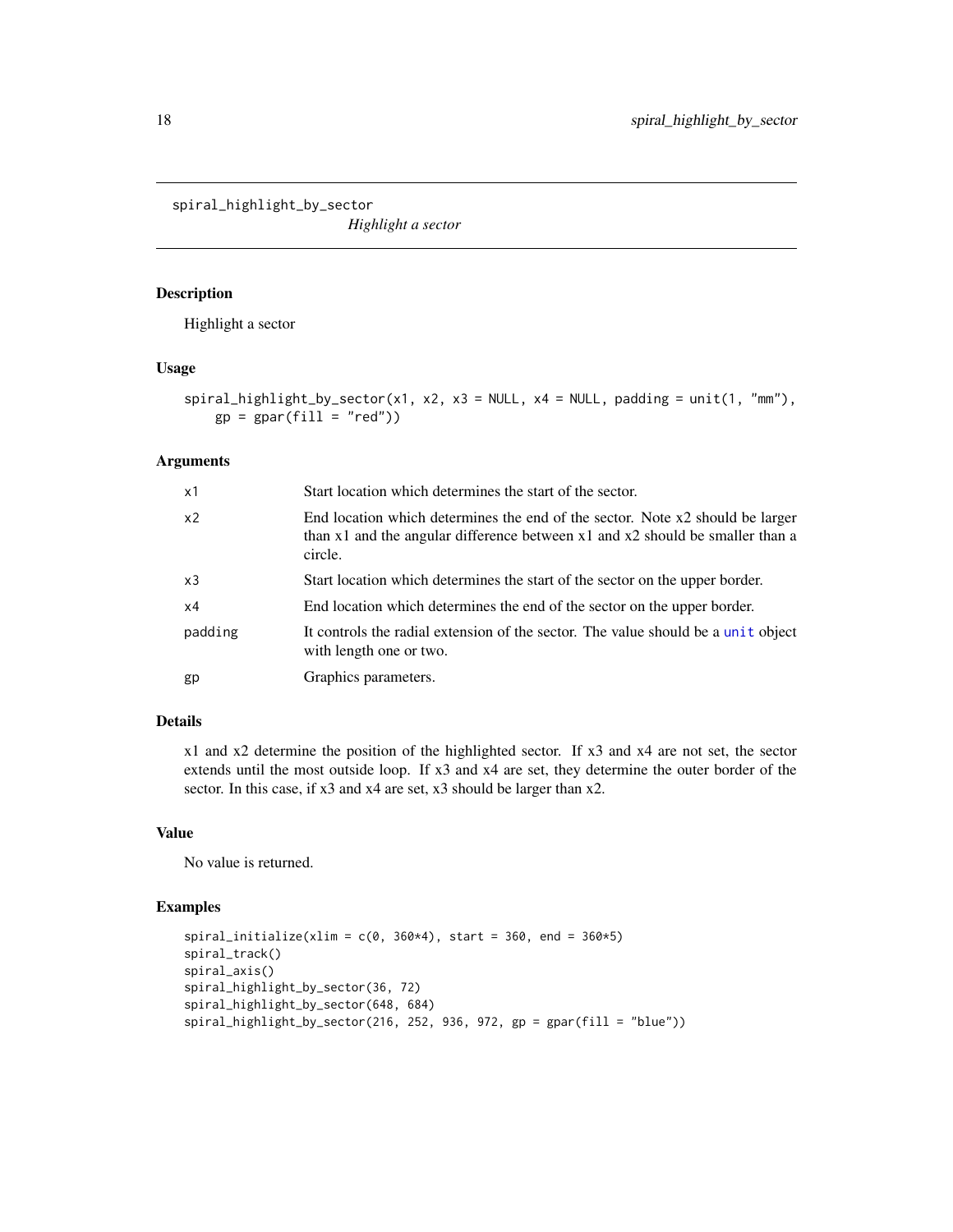<span id="page-17-0"></span>spiral\_highlight\_by\_sector

*Highlight a sector*

## Description

Highlight a sector

#### Usage

```
spiral\_highlight\_by\_sector(x1, x2, x3 = NULL, x4 = NULL, padding = unit(1, "mm"),
    gp = gpar(fill = "red")
```
## Arguments

| x1             | Start location which determines the start of the sector.                                                                                                                        |
|----------------|---------------------------------------------------------------------------------------------------------------------------------------------------------------------------------|
| x <sub>2</sub> | End location which determines the end of the sector. Note x2 should be larger<br>than $x1$ and the angular difference between $x1$ and $x2$ should be smaller than a<br>circle. |
| x3             | Start location which determines the start of the sector on the upper border.                                                                                                    |
| x4             | End location which determines the end of the sector on the upper border.                                                                                                        |
| padding        | It controls the radial extension of the sector. The value should be a unit object<br>with length one or two.                                                                    |
| gp             | Graphics parameters.                                                                                                                                                            |

## Details

x1 and x2 determine the position of the highlighted sector. If x3 and x4 are not set, the sector extends until the most outside loop. If x3 and x4 are set, they determine the outer border of the sector. In this case, if x3 and x4 are set, x3 should be larger than x2.

#### Value

No value is returned.

```
spiral_initialize(xlim = c(\theta, 360*4), start = 360, end = 360*5)
spiral_track()
spiral_axis()
spiral_highlight_by_sector(36, 72)
spiral_highlight_by_sector(648, 684)
spiral_highlight_by_sector(216, 252, 936, 972, gp = gpar(fill = "blue"))
```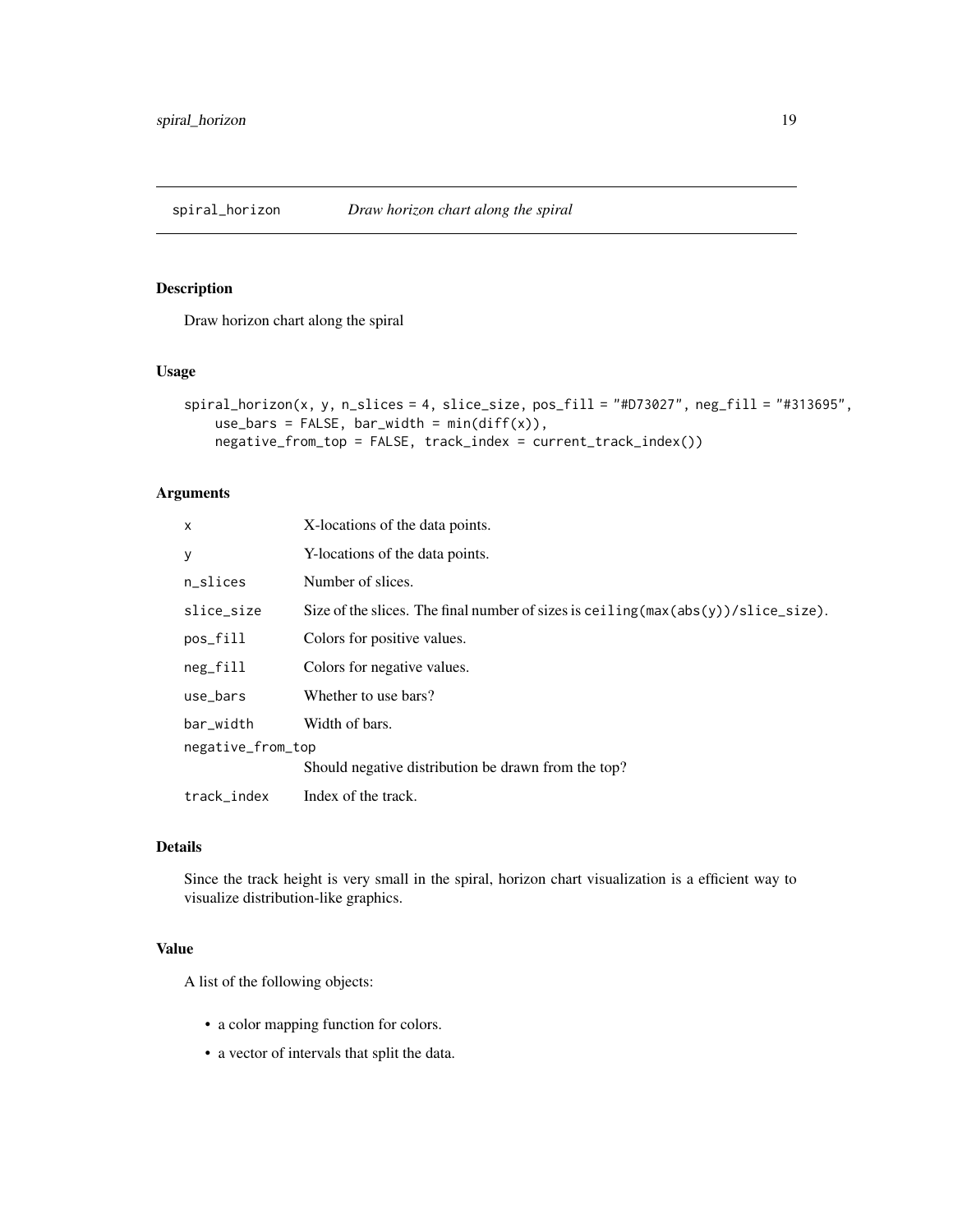<span id="page-18-1"></span><span id="page-18-0"></span>

## Description

Draw horizon chart along the spiral

#### Usage

```
spiral_horizon(x, y, n_slices = 4, slice_size, pos_fill = "#D73027", neg_fill = "#313695",
    use_bars = FALSE, bar_width = min(diff(x)),
   negative_from_top = FALSE, track_index = current_track_index())
```
## Arguments

| X                 | X-locations of the data points.                                                                       |  |
|-------------------|-------------------------------------------------------------------------------------------------------|--|
| у                 | Y-locations of the data points.                                                                       |  |
| n slices          | Number of slices.                                                                                     |  |
| slice_size        | Size of the slices. The final number of sizes is ceiling $(\max(\text{abs}(y))/\text{slice\_size})$ . |  |
| pos_fill          | Colors for positive values.                                                                           |  |
| neg_fill          | Colors for negative values.                                                                           |  |
| use_bars          | Whether to use bars?                                                                                  |  |
| bar_width         | Width of bars.                                                                                        |  |
| negative_from_top |                                                                                                       |  |
|                   | Should negative distribution be drawn from the top?                                                   |  |
| track_index       | Index of the track.                                                                                   |  |
|                   |                                                                                                       |  |

## Details

Since the track height is very small in the spiral, horizon chart visualization is a efficient way to visualize distribution-like graphics.

#### Value

A list of the following objects:

- a color mapping function for colors.
- a vector of intervals that split the data.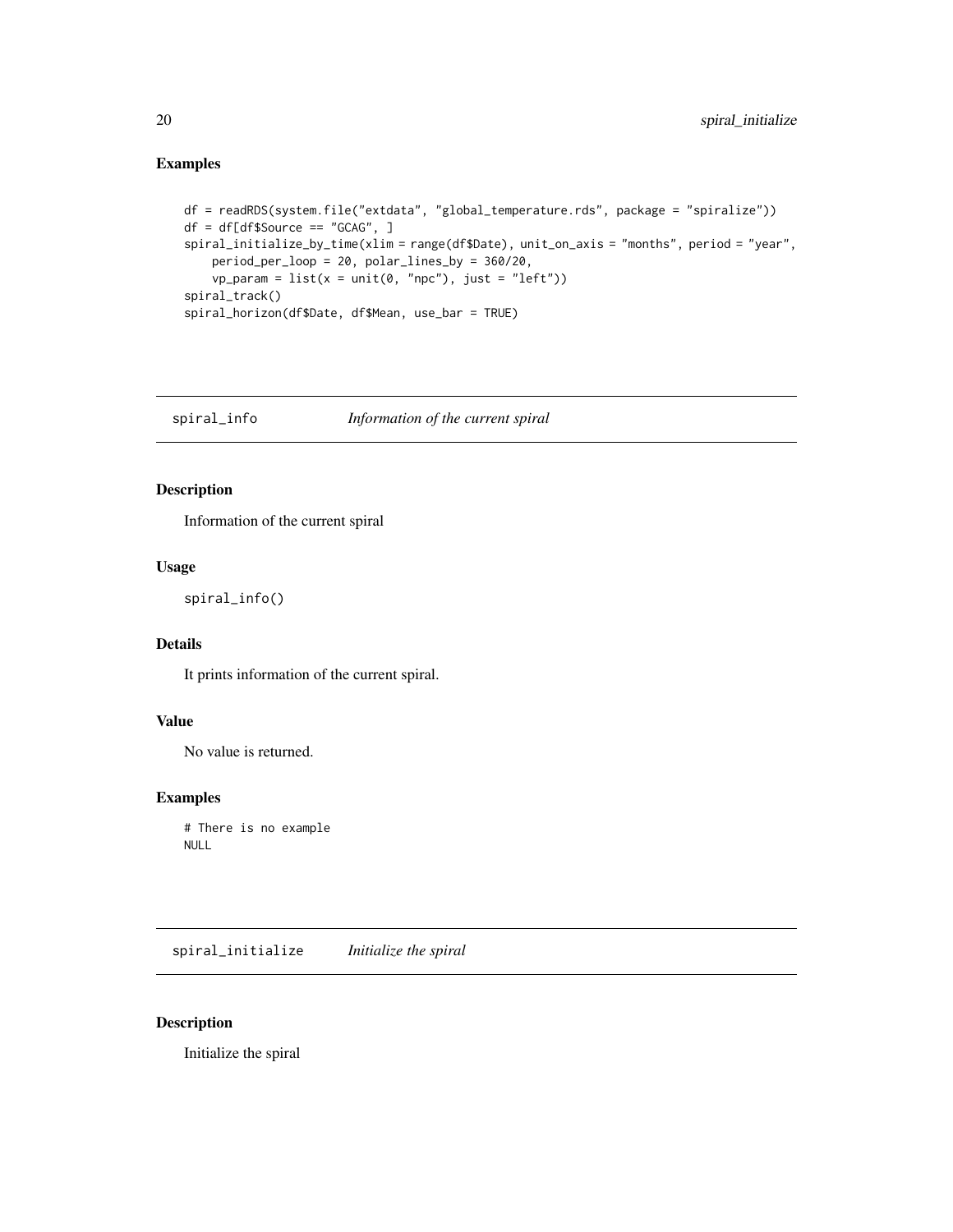## Examples

```
df = readRDS(system.file("extdata", "global_temperature.rds", package = "spiralize"))
df = df[df$Source == "GCAG", ]
spiral_initialize_by_time(xlim = range(df$Date), unit_on_axis = "months", period = "year",
   period_per_loop = 20, polar_lines_by = 360/20,
    vp\_param = list(x = unit(0, 'npc"), just = "left"))spiral_track()
spiral_horizon(df$Date, df$Mean, use_bar = TRUE)
```
spiral\_info *Information of the current spiral*

## Description

Information of the current spiral

#### Usage

```
spiral_info()
```
## Details

It prints information of the current spiral.

## Value

No value is returned.

#### Examples

# There is no example NULL

<span id="page-19-1"></span>spiral\_initialize *Initialize the spiral*

#### Description

Initialize the spiral

<span id="page-19-0"></span>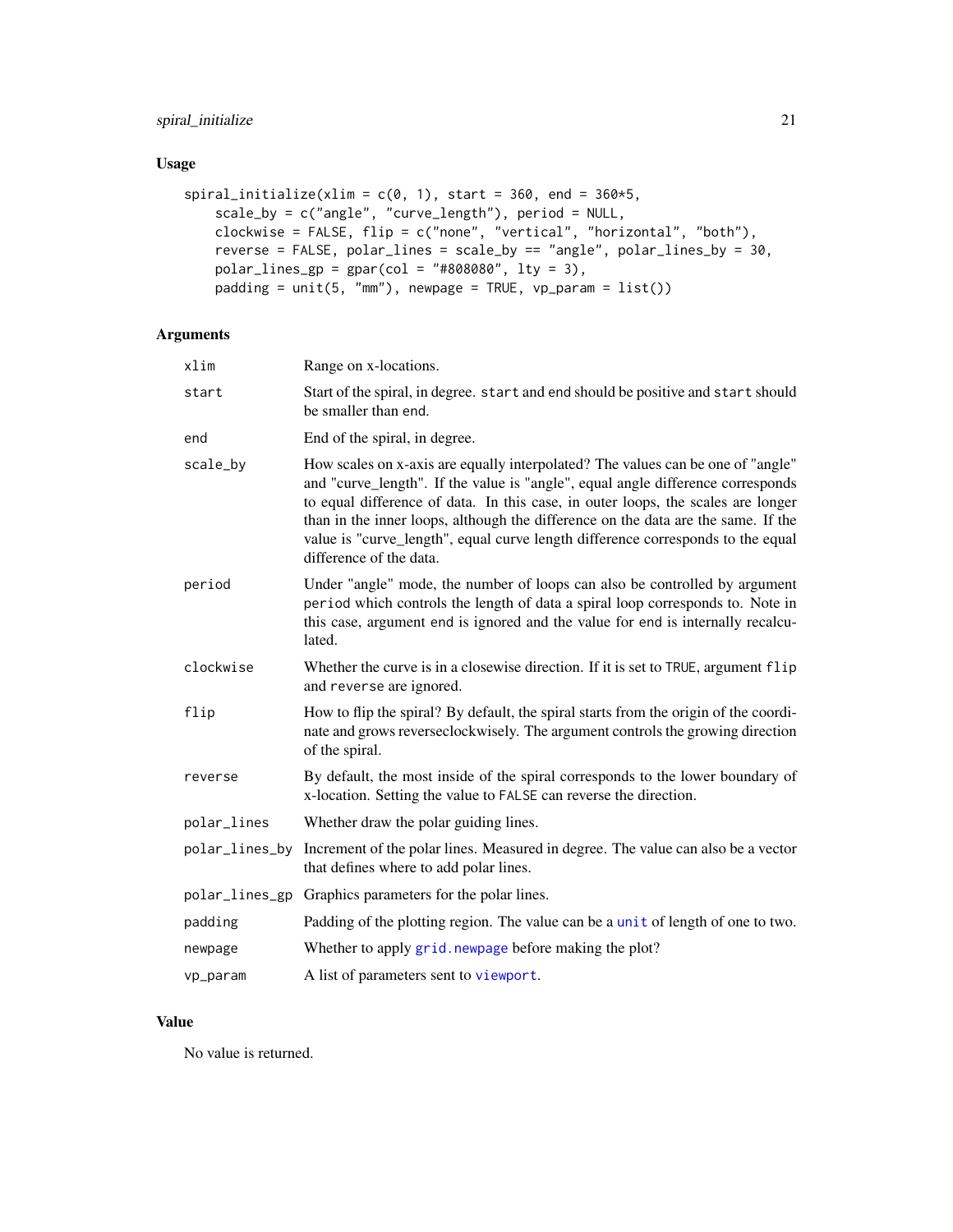## <span id="page-20-0"></span>Usage

```
spiral_initialize(xlim = c(0, 1), start = 360, end = 360*5,
   scale_by = c("angle", "curve_length"), period = NULL,
    clockwise = FALSE, flip = c("none", "vertical", "horizontal", "both"),
    reverse = FALSE, polar_lines = scale_by == "angle", polar_lines_by = 30,
   polar_{lines\_gp} = gpar(col = "#808080", lty = 3),padding = unit(5, "mm"), newpage = TRUE, vp_param = list()
```
## Arguments

| xlim           | Range on x-locations.                                                                                                                                                                                                                                                                                                                                                                                                                                     |
|----------------|-----------------------------------------------------------------------------------------------------------------------------------------------------------------------------------------------------------------------------------------------------------------------------------------------------------------------------------------------------------------------------------------------------------------------------------------------------------|
| start          | Start of the spiral, in degree. start and end should be positive and start should<br>be smaller than end.                                                                                                                                                                                                                                                                                                                                                 |
| end            | End of the spiral, in degree.                                                                                                                                                                                                                                                                                                                                                                                                                             |
| scale_by       | How scales on x-axis are equally interpolated? The values can be one of "angle"<br>and "curve_length". If the value is "angle", equal angle difference corresponds<br>to equal difference of data. In this case, in outer loops, the scales are longer<br>than in the inner loops, although the difference on the data are the same. If the<br>value is "curve_length", equal curve length difference corresponds to the equal<br>difference of the data. |
| period         | Under "angle" mode, the number of loops can also be controlled by argument<br>period which controls the length of data a spiral loop corresponds to. Note in<br>this case, argument end is ignored and the value for end is internally recalcu-<br>lated.                                                                                                                                                                                                 |
| clockwise      | Whether the curve is in a closewise direction. If it is set to TRUE, argument flip<br>and reverse are ignored.                                                                                                                                                                                                                                                                                                                                            |
| flip           | How to flip the spiral? By default, the spiral starts from the origin of the coordi-<br>nate and grows reverseclockwisely. The argument controls the growing direction<br>of the spiral.                                                                                                                                                                                                                                                                  |
| reverse        | By default, the most inside of the spiral corresponds to the lower boundary of<br>x-location. Setting the value to FALSE can reverse the direction.                                                                                                                                                                                                                                                                                                       |
| polar_lines    | Whether draw the polar guiding lines.                                                                                                                                                                                                                                                                                                                                                                                                                     |
| polar_lines_by | Increment of the polar lines. Measured in degree. The value can also be a vector<br>that defines where to add polar lines.                                                                                                                                                                                                                                                                                                                                |
|                | polar_lines_gp Graphics parameters for the polar lines.                                                                                                                                                                                                                                                                                                                                                                                                   |
| padding        | Padding of the plotting region. The value can be a unit of length of one to two.                                                                                                                                                                                                                                                                                                                                                                          |
| newpage        | Whether to apply grid. newpage before making the plot?                                                                                                                                                                                                                                                                                                                                                                                                    |
| vp_param       | A list of parameters sent to viewport.                                                                                                                                                                                                                                                                                                                                                                                                                    |

## Value

No value is returned.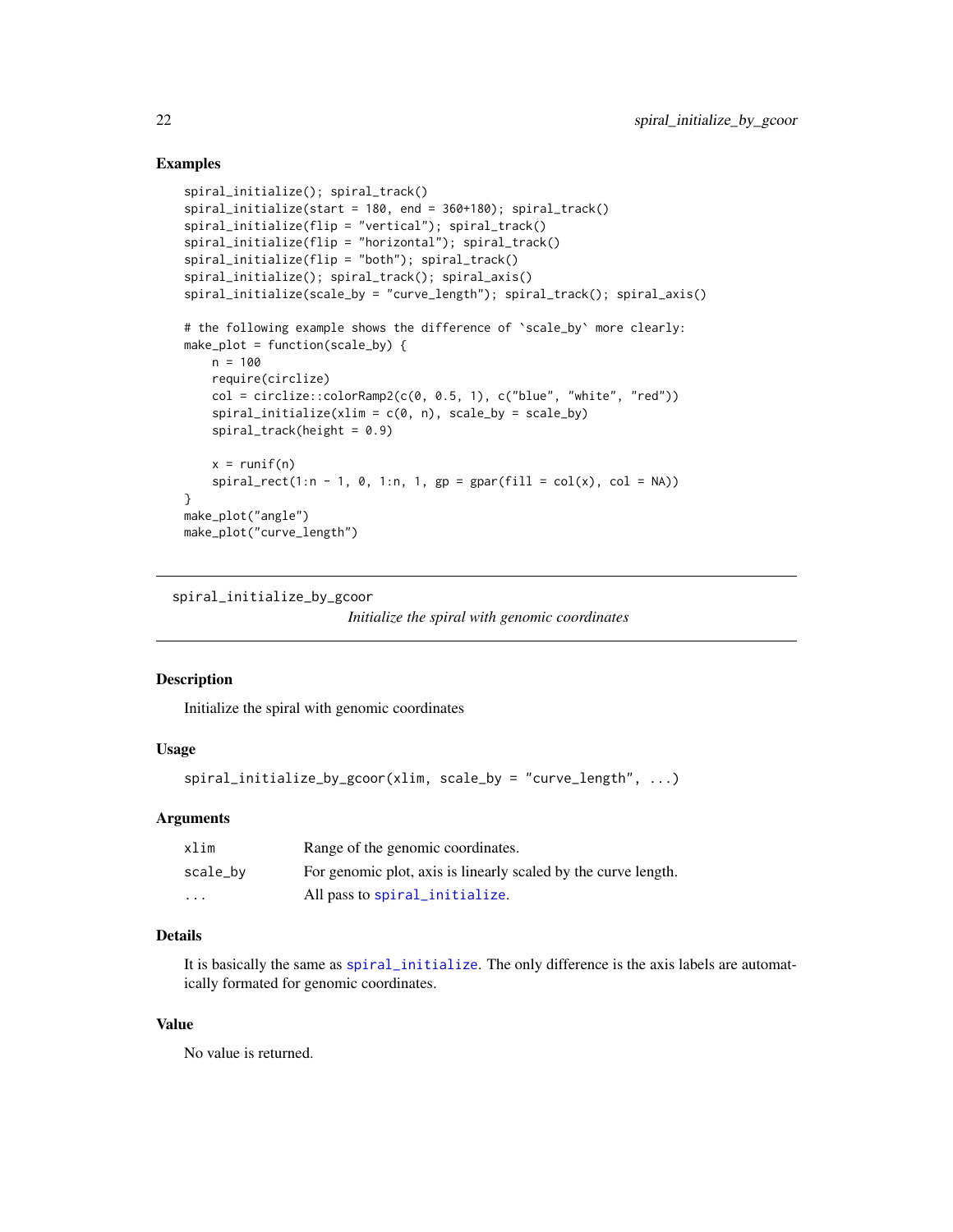#### Examples

```
spiral_initialize(); spiral_track()
spiral_initialize(start = 180, end = 360+180); spiral_track()
spiral_initialize(flip = "vertical"); spiral_track()
spiral_initialize(flip = "horizontal"); spiral_track()
spiral_initialize(flip = "both"); spiral_track()
spiral_initialize(); spiral_track(); spiral_axis()
spiral_initialize(scale_by = "curve_length"); spiral_track(); spiral_axis()
# the following example shows the difference of `scale_by` more clearly:
make_plot = function(scale_by) {
   n = 100
   require(circlize)
   col = circlice::colorRamp@{(o, 0.5, 1)}, c("blue", "white", "red"))spiral\_initialize(xlim = c(0, n), scale_by = scale_by)spiral\_track(height = 0.9)x = runif(n)spiral_rect(1:n - 1, 0, 1:n, 1, gp = gpar(fill = col(x), col = NA))
}
make_plot("angle")
make_plot("curve_length")
```

```
spiral_initialize_by_gcoor
```

```
Initialize the spiral with genomic coordinates
```
#### Description

Initialize the spiral with genomic coordinates

#### Usage

```
spiral_initialize_by_gcoor(xlim, scale_by = "curve_length", ...)
```
#### Arguments

| xlim     | Range of the genomic coordinates.                              |
|----------|----------------------------------------------------------------|
| scale_bv | For genomic plot, axis is linearly scaled by the curve length. |
| $\cdots$ | All pass to spiral initialize.                                 |

## Details

It is basically the same as [spiral\\_initialize](#page-19-1). The only difference is the axis labels are automatically formated for genomic coordinates.

#### Value

No value is returned.

<span id="page-21-0"></span>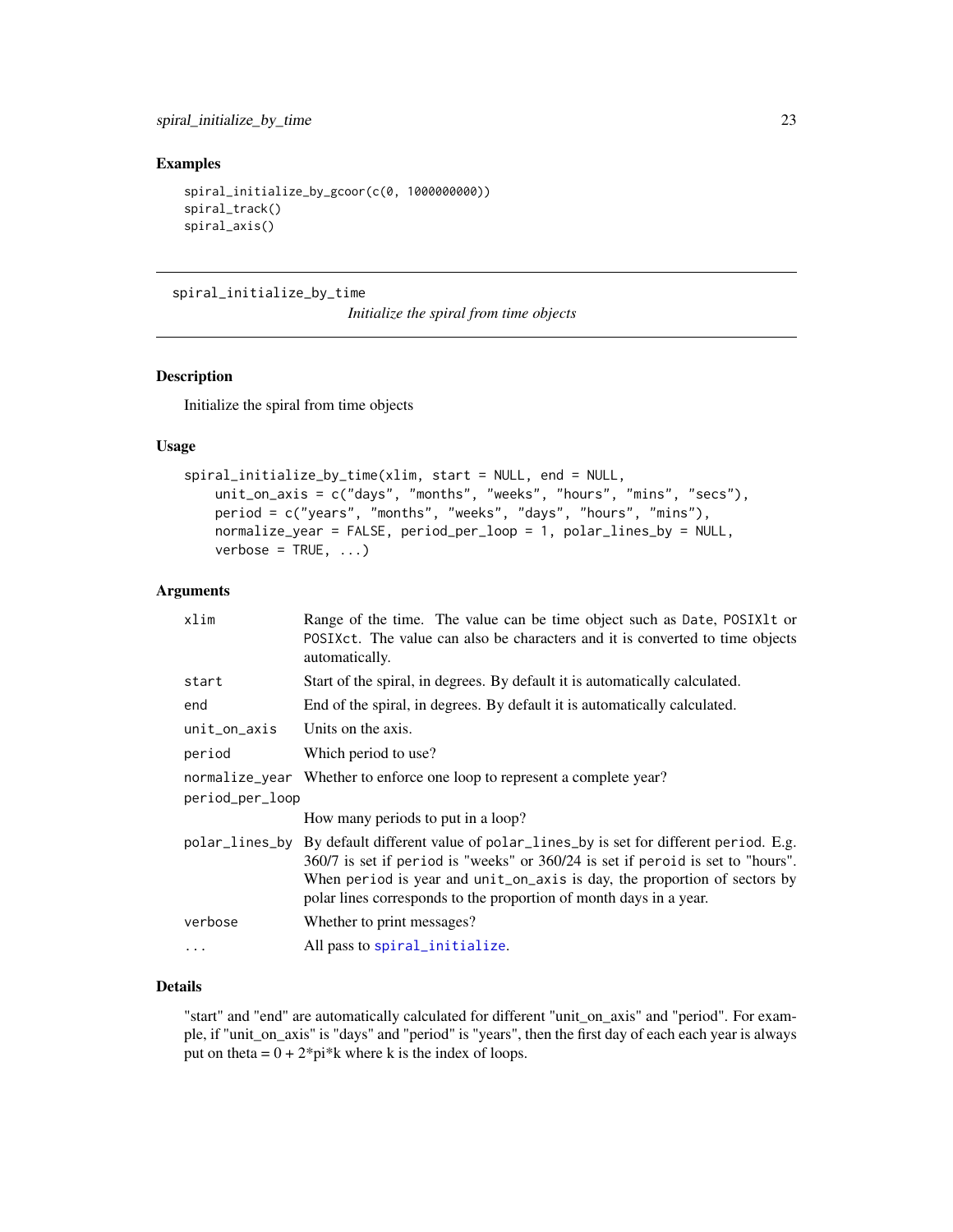#### <span id="page-22-0"></span>Examples

```
spiral_initialize_by_gcoor(c(0, 1000000000))
spiral_track()
spiral_axis()
```
spiral\_initialize\_by\_time

*Initialize the spiral from time objects*

## Description

Initialize the spiral from time objects

#### Usage

```
spiral_initialize_by_time(xlim, start = NULL, end = NULL,
   unit_on_axis = c("days", "months", "weeks", "hours", "mins", "secs"),
   period = c("years", "months", "weeks", "days", "hours", "mins"),
   normalize_year = FALSE, period_per_loop = 1, polar_lines_by = NULL,
   verbose = TRUE, ...)
```
#### Arguments

| xlim            | Range of the time. The value can be time object such as Date, POSIX1t or<br>POSIXct. The value can also be characters and it is converted to time objects<br>automatically.                                                                                                                                                         |  |
|-----------------|-------------------------------------------------------------------------------------------------------------------------------------------------------------------------------------------------------------------------------------------------------------------------------------------------------------------------------------|--|
| start           | Start of the spiral, in degrees. By default it is automatically calculated.                                                                                                                                                                                                                                                         |  |
| end             | End of the spiral, in degrees. By default it is automatically calculated.                                                                                                                                                                                                                                                           |  |
| $unit_$ axis    | Units on the axis.                                                                                                                                                                                                                                                                                                                  |  |
| period          | Which period to use?                                                                                                                                                                                                                                                                                                                |  |
| period_per_loop | normalize_year Whether to enforce one loop to represent a complete year?                                                                                                                                                                                                                                                            |  |
|                 | How many periods to put in a loop?                                                                                                                                                                                                                                                                                                  |  |
|                 | polar_lines_by By default different value of polar_lines_by is set for different period. E.g.<br>360/7 is set if period is "weeks" or 360/24 is set if peroid is set to "hours".<br>When period is year and unit_on_axis is day, the proportion of sectors by<br>polar lines corresponds to the proportion of month days in a year. |  |
| verbose         | Whether to print messages?                                                                                                                                                                                                                                                                                                          |  |
| $\ddots$ .      | All pass to spiral_initialize.                                                                                                                                                                                                                                                                                                      |  |

## Details

"start" and "end" are automatically calculated for different "unit\_on\_axis" and "period". For example, if "unit\_on\_axis" is "days" and "period" is "years", then the first day of each each year is always put on theta =  $0 + 2$ <sup>\*</sup>pi<sup>\*</sup>k where k is the index of loops.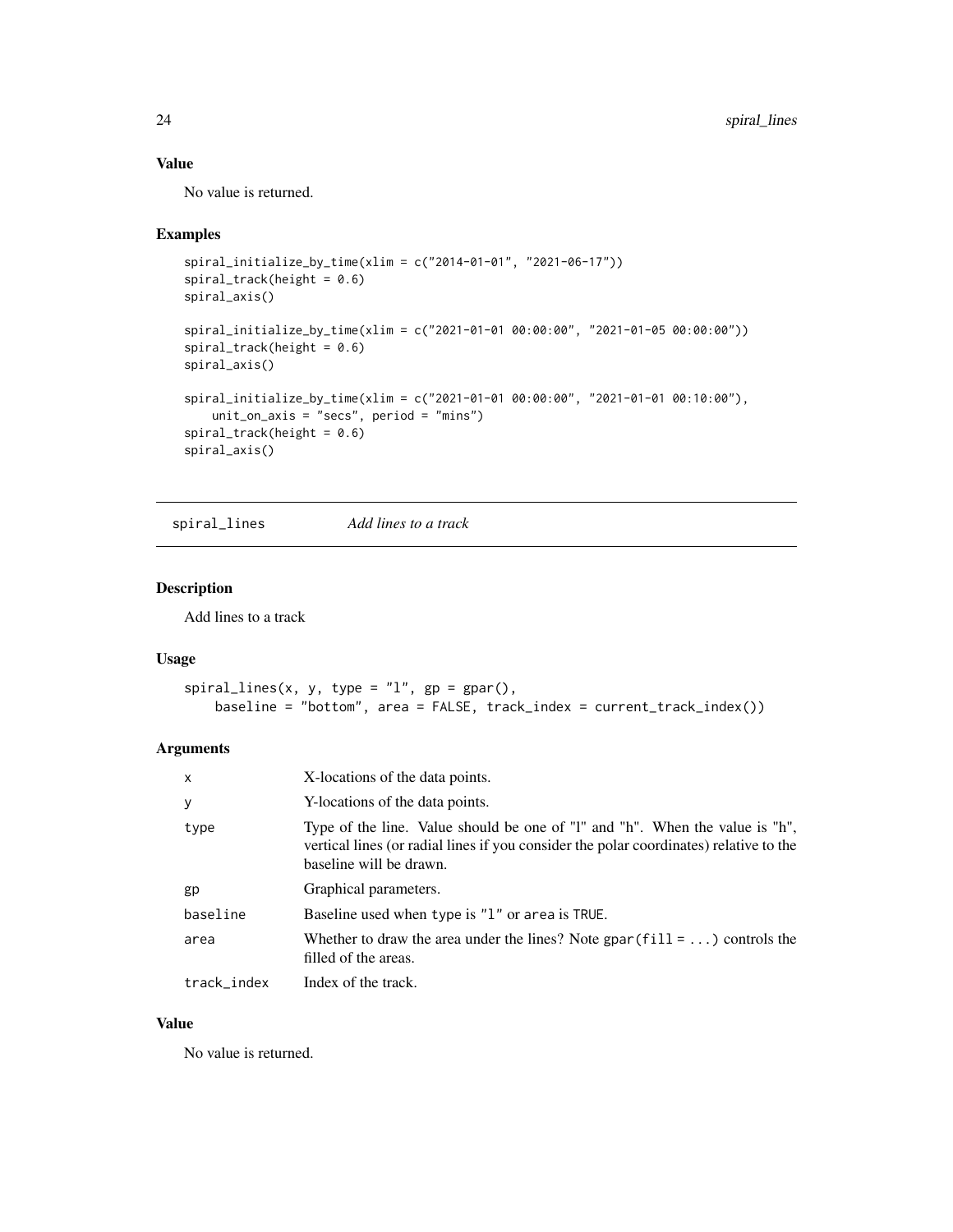## <span id="page-23-0"></span>Value

No value is returned.

#### Examples

```
spiral_initialize_by_time(xlim = c("2014-01-01", "2021-06-17"))
spiral\_track(height = 0.6)spiral_axis()
spiral_initialize_by_time(xlim = c("2021-01-01 00:00:00", "2021-01-05 00:00:00"))
spiral\_track(height = 0.6)spiral_axis()
spiral_initialize_by_time(xlim = c("2021-01-01 00:00:00", "2021-01-01 00:10:00"),
   unit_on_axis = "secs", period = "mins")
spiral\_track(height = 0.6)spiral_axis()
```
spiral\_lines *Add lines to a track*

## Description

Add lines to a track

#### Usage

```
spiral_lines(x, y, type = "l", gp = gpar(),
   baseline = "bottom", area = FALSE, track_index = current_track_index())
```
## Arguments

| $\mathsf{x}$ | X-locations of the data points.                                                                                                                                                                   |
|--------------|---------------------------------------------------------------------------------------------------------------------------------------------------------------------------------------------------|
| y            | Y-locations of the data points.                                                                                                                                                                   |
| type         | Type of the line. Value should be one of "I" and "h". When the value is "h",<br>vertical lines (or radial lines if you consider the polar coordinates) relative to the<br>baseline will be drawn. |
| gp           | Graphical parameters.                                                                                                                                                                             |
| baseline     | Baseline used when type is "1" or area is TRUE.                                                                                                                                                   |
| area         | Whether to draw the area under the lines? Note gpar (fill = ) controls the<br>filled of the areas.                                                                                                |
| track_index  | Index of the track.                                                                                                                                                                               |

#### Value

No value is returned.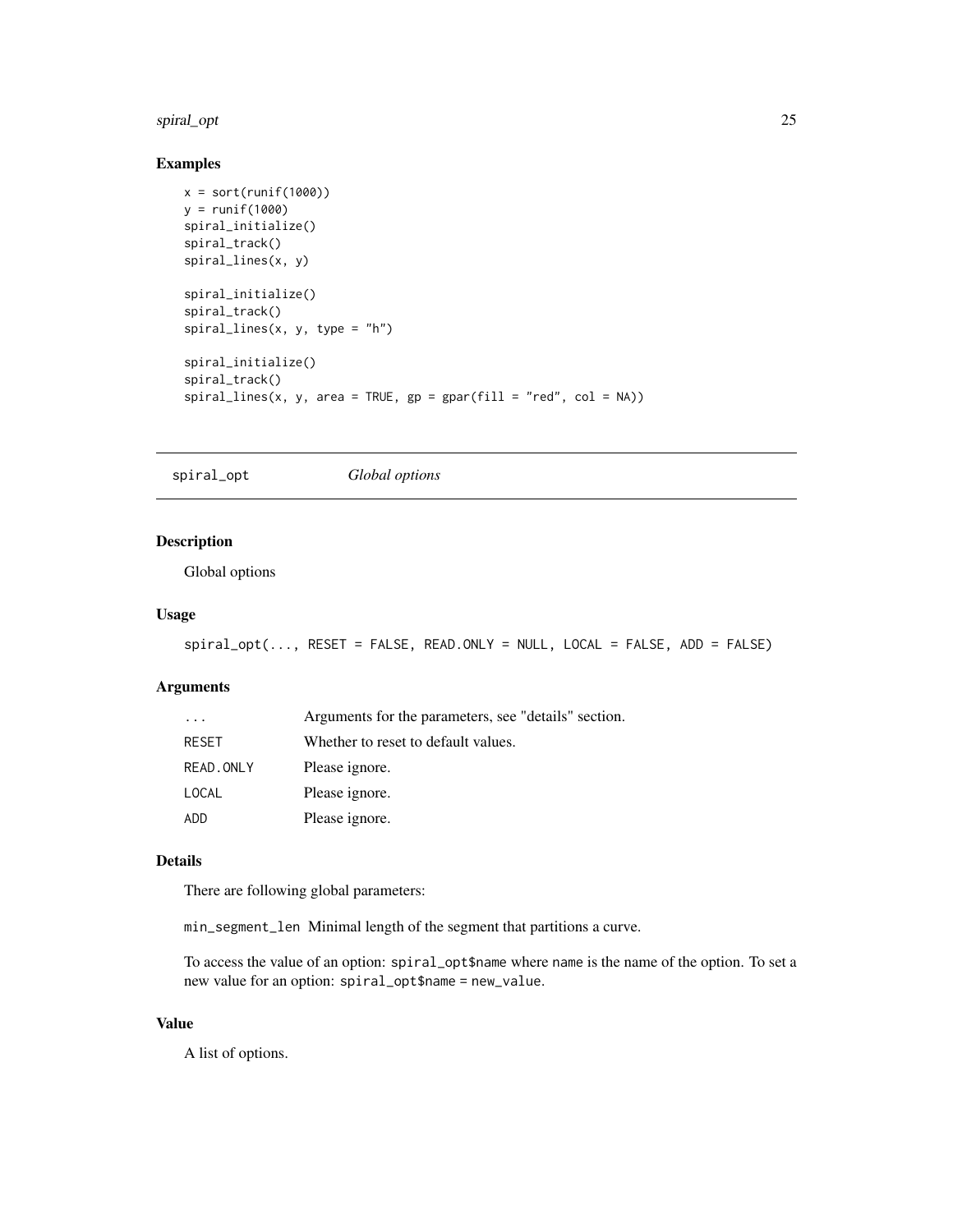#### <span id="page-24-0"></span>spiral\_opt 25

## Examples

```
x = sort(runif(1000))y = runif(1000)spiral_initialize()
spiral_track()
spiral_lines(x, y)
spiral_initialize()
spiral_track()
spiral_{lines}(x, y, type = "h")spiral_initialize()
spiral_track()
spiral_{lines}(x, y, area = TRUE, gp = gpar(fill = "red", col = NA))
```
spiral\_opt *Global options*

## Description

Global options

## Usage

spiral\_opt(..., RESET = FALSE, READ.ONLY = NULL, LOCAL = FALSE, ADD = FALSE)

#### Arguments

| $\cdot$   | Arguments for the parameters, see "details" section. |
|-----------|------------------------------------------------------|
| RESET     | Whether to reset to default values.                  |
| READ.ONLY | Please ignore.                                       |
| LOCAL     | Please ignore.                                       |
| ADD       | Please ignore.                                       |

#### Details

There are following global parameters:

min\_segment\_len Minimal length of the segment that partitions a curve.

To access the value of an option: spiral\_opt\$name where name is the name of the option. To set a new value for an option: spiral\_opt\$name = new\_value.

## Value

A list of options.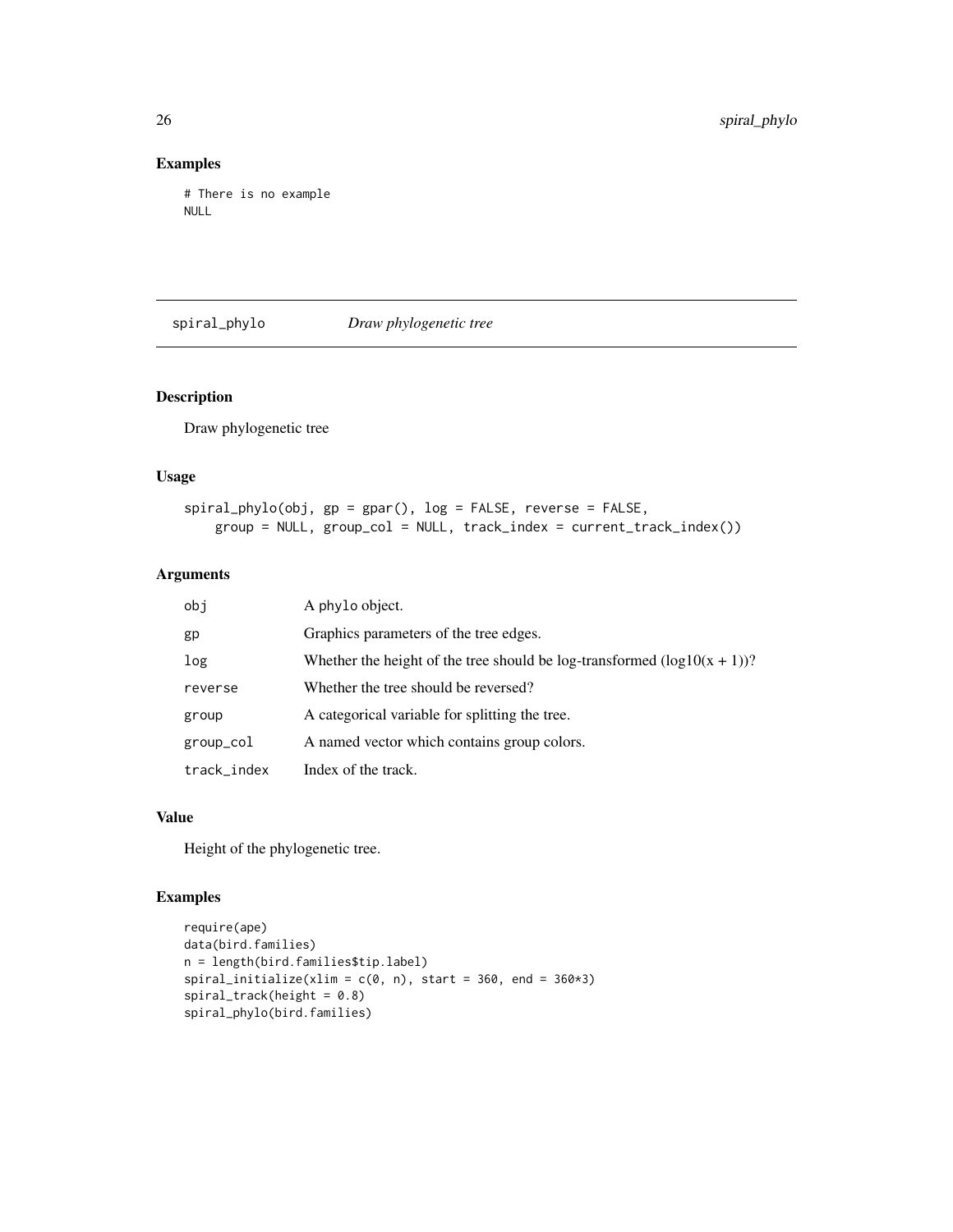## Examples

```
# There is no example
NULL
```
spiral\_phylo *Draw phylogenetic tree*

## Description

Draw phylogenetic tree

#### Usage

```
spiral_phylo(obj, gp = gpar(), log = FALSE, reverse = FALSE,
   group = NULL, group_col = NULL, track_index = current_track_index())
```
## Arguments

| obj         | A phylo object.                                                              |
|-------------|------------------------------------------------------------------------------|
| gp          | Graphics parameters of the tree edges.                                       |
| log         | Whether the height of the tree should be log-transformed $(log 10(x + 1))$ ? |
| reverse     | Whether the tree should be reversed?                                         |
| group       | A categorical variable for splitting the tree.                               |
| group_col   | A named vector which contains group colors.                                  |
| track_index | Index of the track.                                                          |

## Value

Height of the phylogenetic tree.

```
require(ape)
data(bird.families)
n = length(bird.families$tip.label)
spiral_initialize(xlim = c(\emptyset, n), start = 360, end = 360*3)
spiral\_track(height = 0.8)spiral_phylo(bird.families)
```
<span id="page-25-0"></span>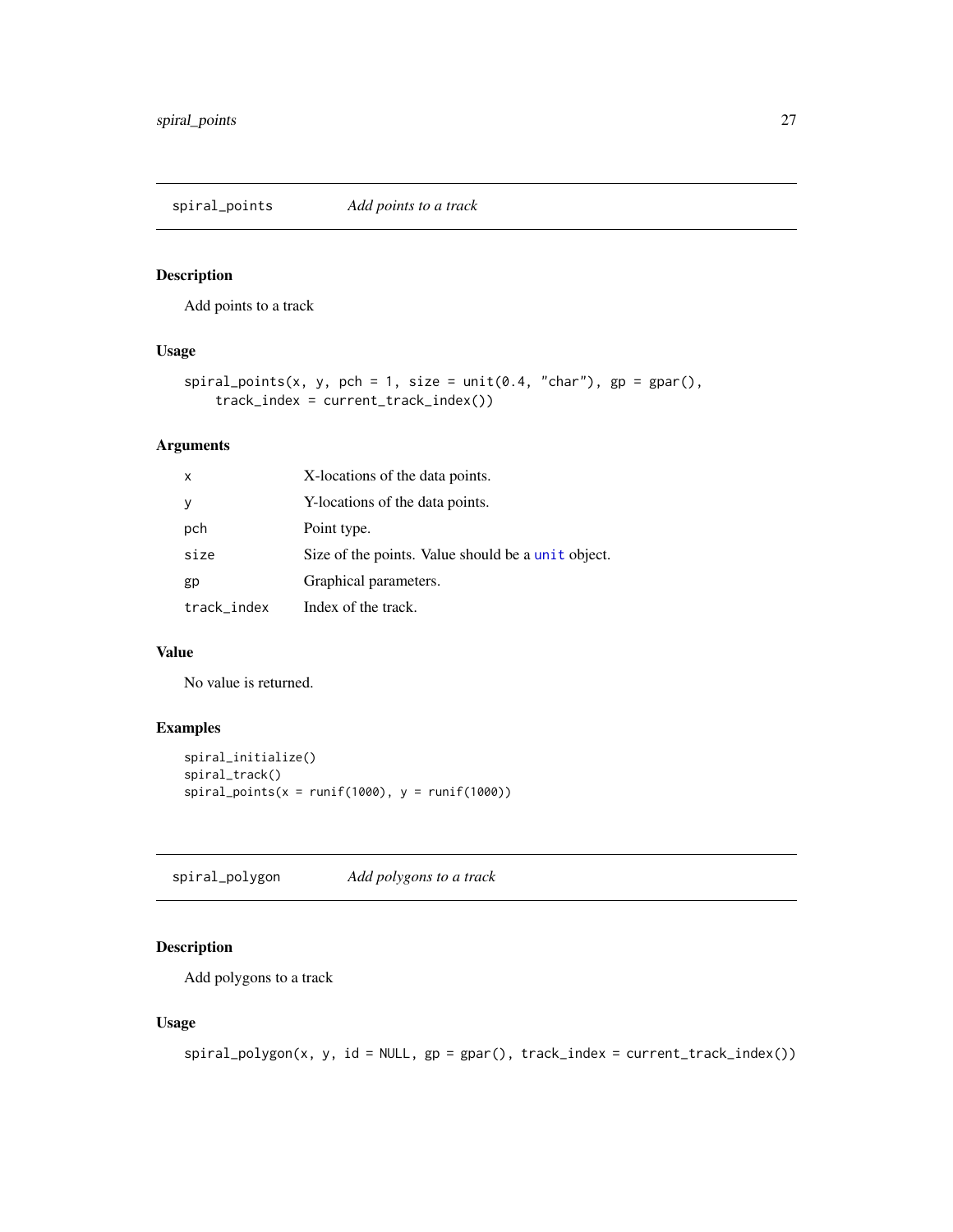<span id="page-26-0"></span>spiral\_points *Add points to a track*

## Description

Add points to a track

## Usage

```
spiral_points(x, y, pch = 1, size = unit(0.4, "char"), gp = gapar(),track_index = current_track_index())
```
## Arguments

| $\mathsf{x}$ | X-locations of the data points.                    |
|--------------|----------------------------------------------------|
| <b>y</b>     | Y-locations of the data points.                    |
| pch          | Point type.                                        |
| size         | Size of the points. Value should be a unit object. |
| gp           | Graphical parameters.                              |
| track_index  | Index of the track.                                |

## Value

No value is returned.

#### Examples

```
spiral_initialize()
spiral_track()
spiral_points(x = runif(1000), y = runif(1000))
```
spiral\_polygon *Add polygons to a track*

## Description

Add polygons to a track

```
spiral_polygon(x, y, id = NULL, gp = gpar(), track_index = current_track_index())
```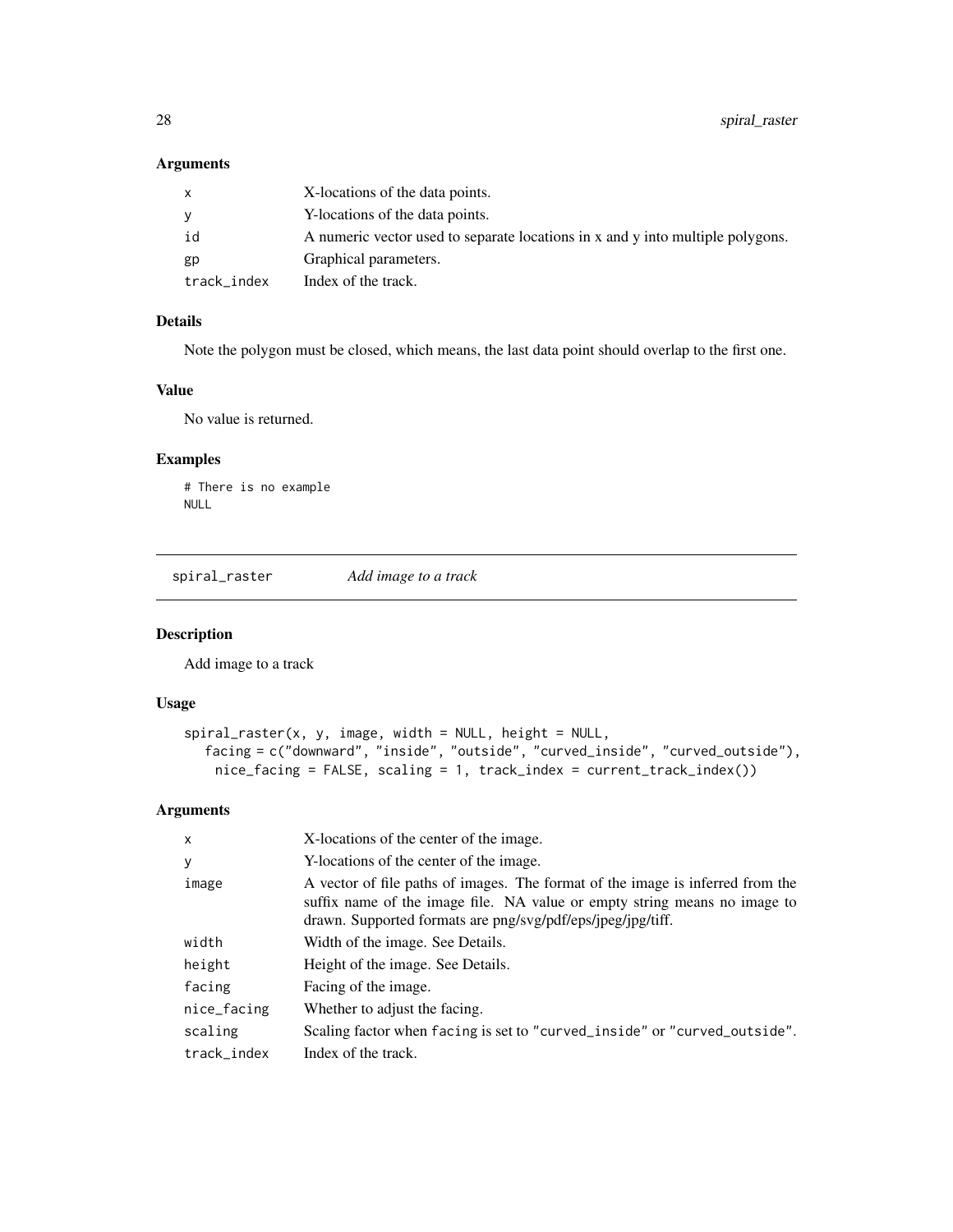## <span id="page-27-0"></span>Arguments

|             | X-locations of the data points.                                                |
|-------------|--------------------------------------------------------------------------------|
| ۷           | Y-locations of the data points.                                                |
| id          | A numeric vector used to separate locations in x and y into multiple polygons. |
| gp          | Graphical parameters.                                                          |
| track_index | Index of the track.                                                            |

#### Details

Note the polygon must be closed, which means, the last data point should overlap to the first one.

#### Value

No value is returned.

#### Examples

# There is no example NULL

spiral\_raster *Add image to a track*

## Description

Add image to a track

## Usage

```
spiral_raster(x, y, image, width = NULL, height = NULL,facing = c("downward", "inside", "outside", "curved_inside", "curved_outside"),
   nice_facing = FALSE, scaling = 1, track_index = current_track_index())
```
## Arguments

| $\mathsf{x}$ | X-locations of the center of the image.                                                                                                                                                                                    |
|--------------|----------------------------------------------------------------------------------------------------------------------------------------------------------------------------------------------------------------------------|
| У            | Y-locations of the center of the image.                                                                                                                                                                                    |
| image        | A vector of file paths of images. The format of the image is inferred from the<br>suffix name of the image file. NA value or empty string means no image to<br>drawn. Supported formats are png/svg/pdf/eps/jpeg/jpg/tiff. |
| width        | Width of the image. See Details.                                                                                                                                                                                           |
| height       | Height of the image. See Details.                                                                                                                                                                                          |
| facing       | Facing of the image.                                                                                                                                                                                                       |
| nice_facing  | Whether to adjust the facing.                                                                                                                                                                                              |
| scaling      | Scaling factor when facing is set to "curved_inside" or "curved_outside".                                                                                                                                                  |
| track index  | Index of the track.                                                                                                                                                                                                        |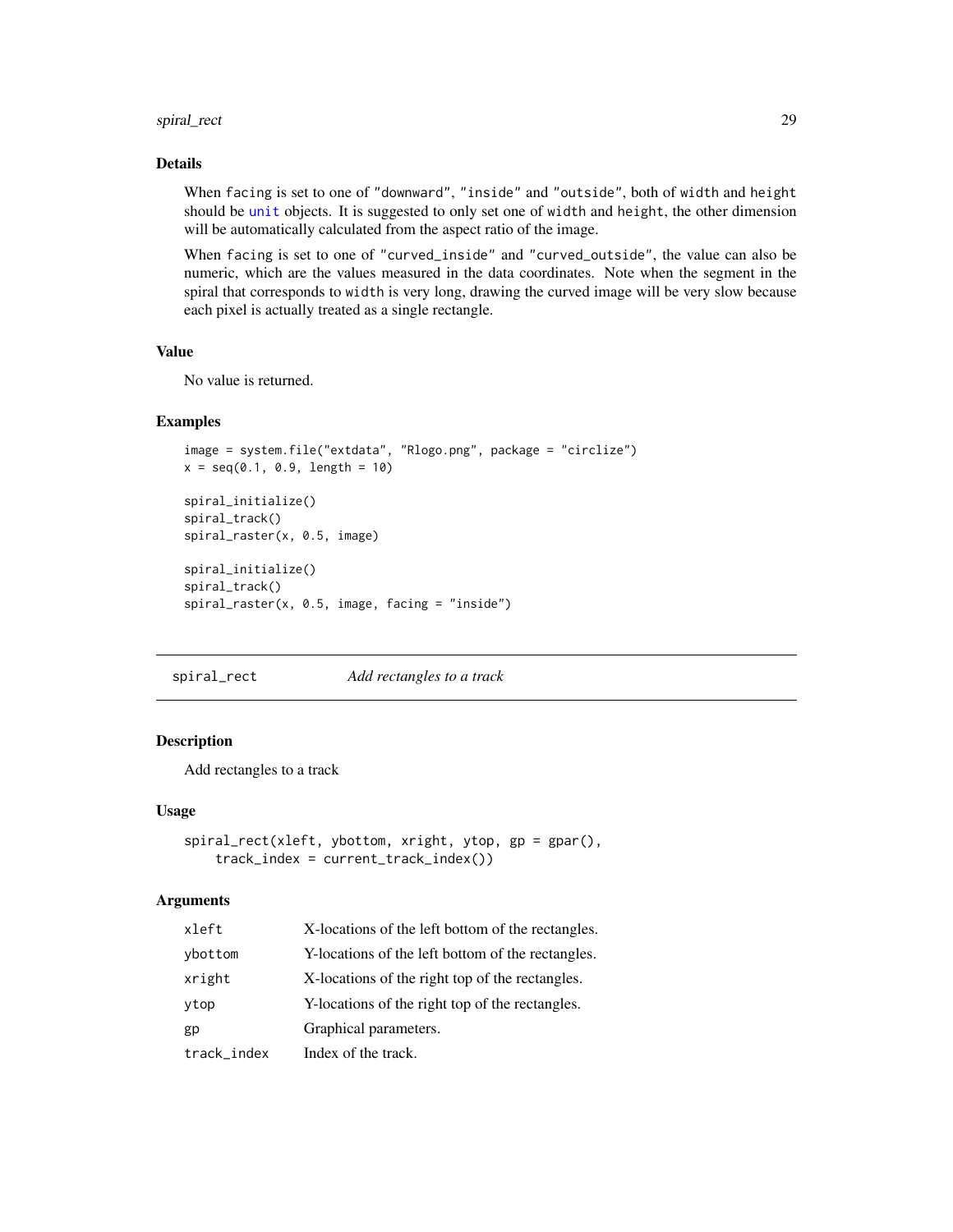## <span id="page-28-0"></span>spiral\_rect 29

#### Details

When facing is set to one of "downward", "inside" and "outside", both of width and height should be [unit](#page-0-0) objects. It is suggested to only set one of width and height, the other dimension will be automatically calculated from the aspect ratio of the image.

When facing is set to one of "curved\_inside" and "curved\_outside", the value can also be numeric, which are the values measured in the data coordinates. Note when the segment in the spiral that corresponds to width is very long, drawing the curved image will be very slow because each pixel is actually treated as a single rectangle.

#### Value

No value is returned.

#### Examples

```
image = system.file("extdata", "Rlogo.png", package = "circlize")
x = seq(0.1, 0.9, length = 10)spiral_initialize()
spiral_track()
spiral_raster(x, 0.5, image)
spiral_initialize()
spiral_track()
spiral_raster(x, 0.5, image, facing = "inside")
```
spiral\_rect *Add rectangles to a track*

#### Description

Add rectangles to a track

#### Usage

```
spiral_rect(xleft, ybottom, xright, ytop, gp = gpar(),
   track_index = current_track_index())
```
#### Arguments

| xleft       | X-locations of the left bottom of the rectangles. |
|-------------|---------------------------------------------------|
| ybottom     | Y-locations of the left bottom of the rectangles. |
| xright      | X-locations of the right top of the rectangles.   |
| ytop        | Y-locations of the right top of the rectangles.   |
| gp          | Graphical parameters.                             |
| track_index | Index of the track.                               |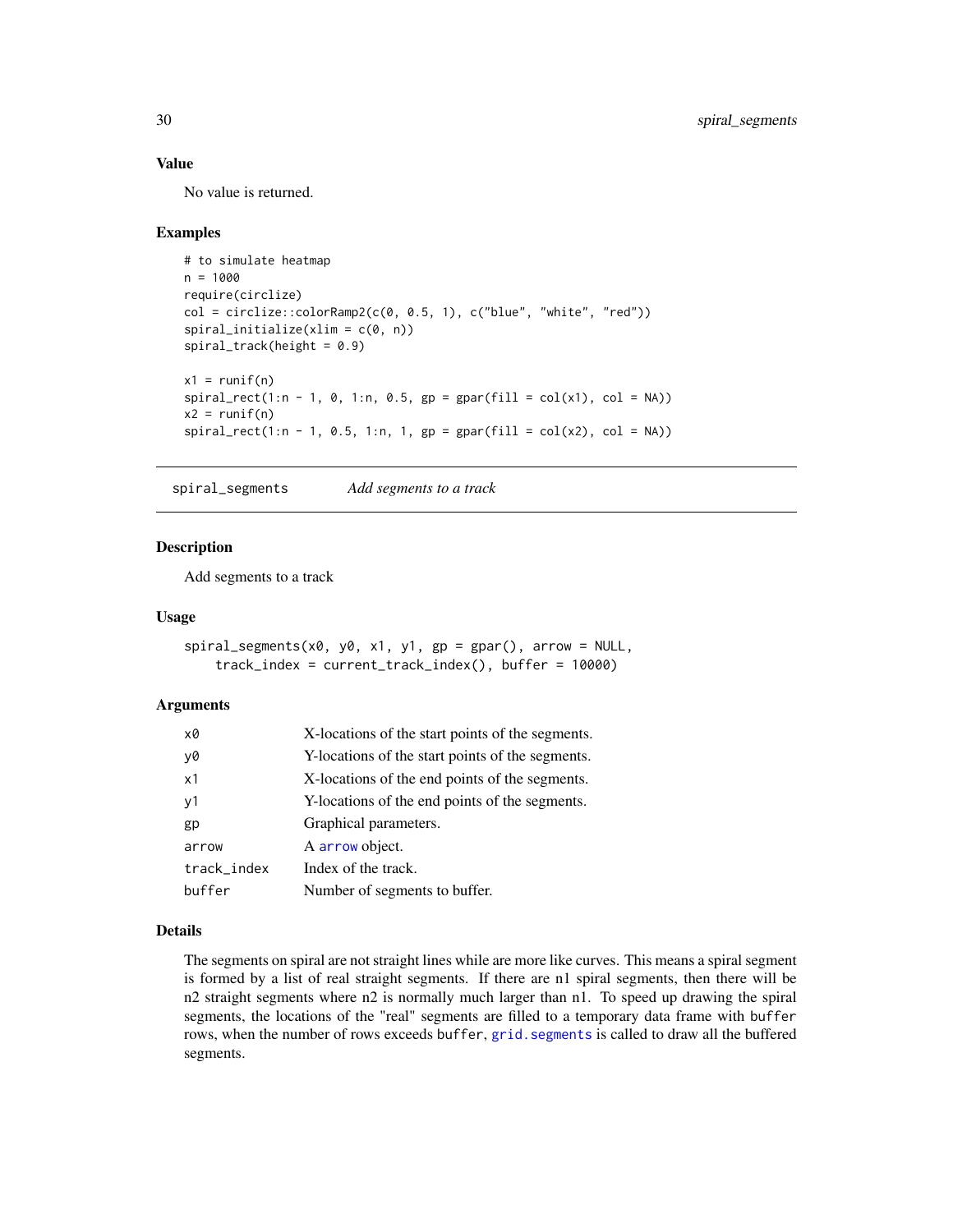## Value

No value is returned.

#### Examples

```
# to simulate heatmap
n = 1000require(circlize)
col = circlice::colorRamp@{comp2}(c(0, 0.5, 1), c("blue", "white", "red"))spiral_initialize(xlim = c(0, n))spiral\_track(height = 0.9)x1 = runif(n)spiral\_rect(1:n - 1, 0, 1:n, 0.5, gp = gpar(fill = col(x1), col = NA))x2 = runif(n)spiral\_rect(1:n - 1, 0.5, 1:n, 1, gp = gpar(fill = col(x2), col = NA))
```
<span id="page-29-1"></span>spiral\_segments *Add segments to a track*

## Description

Add segments to a track

#### Usage

```
spiral_segments(x0, y0, x1, y1, gp = gpar(), arrow = NULL,
    track_index = current_track_index(), buffer = 10000)
```
#### **Arguments**

| x0          | X-locations of the start points of the segments. |
|-------------|--------------------------------------------------|
| y0          | Y-locations of the start points of the segments. |
| x1          | X-locations of the end points of the segments.   |
| y1          | Y-locations of the end points of the segments.   |
| gp          | Graphical parameters.                            |
| arrow       | A arrow object.                                  |
| track_index | Index of the track.                              |
| buffer      | Number of segments to buffer.                    |

## Details

The segments on spiral are not straight lines while are more like curves. This means a spiral segment is formed by a list of real straight segments. If there are n1 spiral segments, then there will be n2 straight segments where n2 is normally much larger than n1. To speed up drawing the spiral segments, the locations of the "real" segments are filled to a temporary data frame with buffer rows, when the number of rows exceeds buffer, [grid.segments](#page-0-0) is called to draw all the buffered segments.

<span id="page-29-0"></span>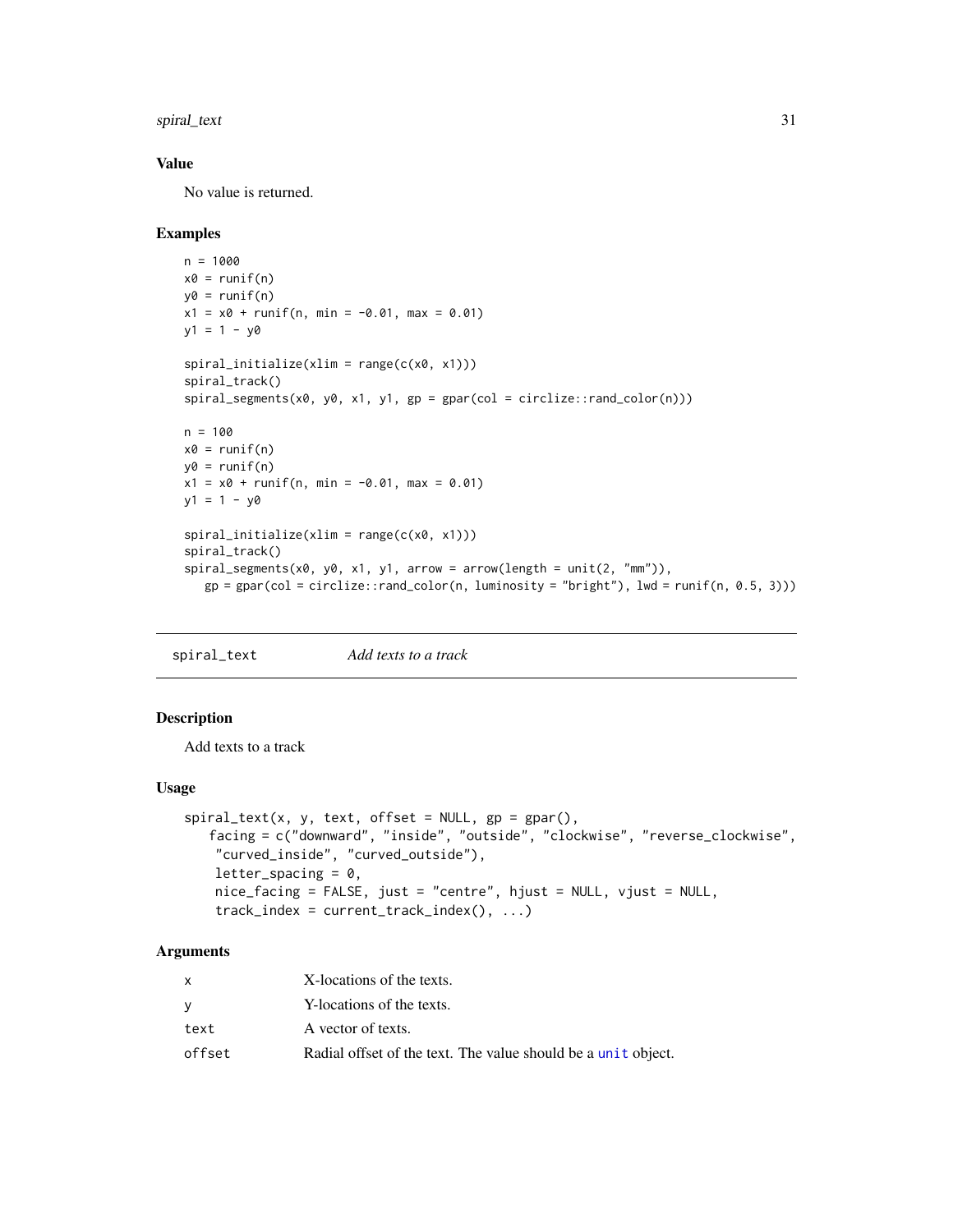<span id="page-30-0"></span>spiral\_text 31

#### Value

No value is returned.

#### Examples

```
n = 1000
x0 = runif(n)y0 = runif(n)x1 = x0 + runif(n, min = -0.01, max = 0.01)y1 = 1 - y0spiral\_initialize(xlim = range(c(x0, x1)))spiral_track()
spiral\_segments(x0, y0, x1, y1, gp = gpar(col = circlice::rand_color(n)))n = 100x0 = runif(n)y0 = runif(n)x1 = x0 + runif(n, min = -0.01, max = 0.01)y1 = 1 - y0spiral_initialize(xlim = range(c(x0, x1)))
spiral_track()
spiral_segments(x0, y0, x1, y1, arrow = arrow(length = unit(2, "mm")),
   gp = gpar(col = circlize::rand_color(n, luminosity = "bright"), lwd = runif(n, 0.5, 3)))
```
spiral\_text *Add texts to a track*

## Description

Add texts to a track

#### Usage

```
spiral\_text(x, y, text, offset = NULL, gp = gapar(),facing = c("downward", "inside", "outside", "clockwise", "reverse_clockwise",
    "curved_inside", "curved_outside"),
    letter\_spacing = 0,
   nice_facing = FALSE, just = "centre", hjust = NULL, vjust = NULL,
    track_index = current_track_index(), ...)
```
#### Arguments

|        | X-locations of the texts.                                     |
|--------|---------------------------------------------------------------|
|        | Y-locations of the texts.                                     |
| text   | A vector of texts.                                            |
| offset | Radial offset of the text. The value should be a unit object. |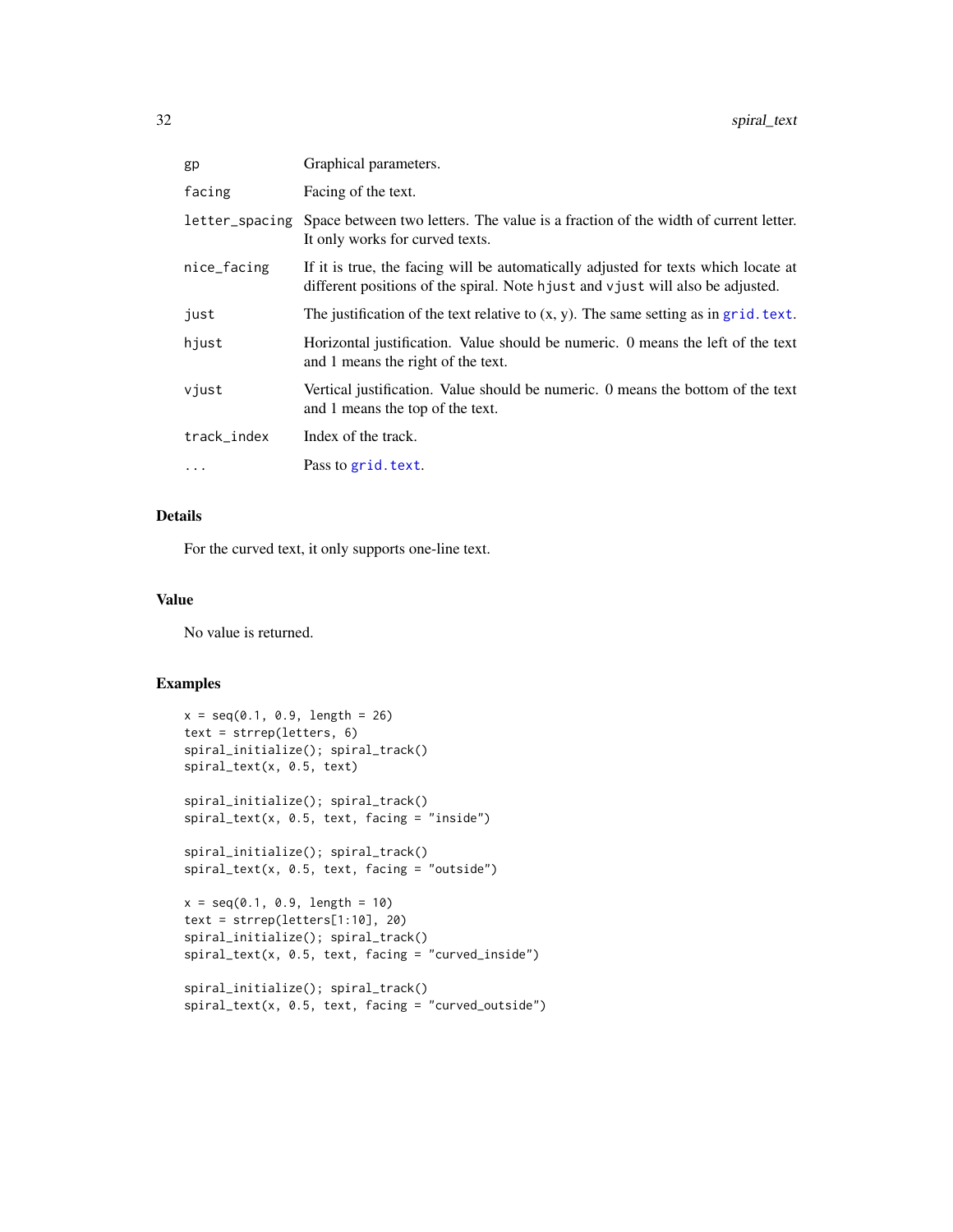<span id="page-31-0"></span>

| gp             | Graphical parameters.                                                                                                                                                |
|----------------|----------------------------------------------------------------------------------------------------------------------------------------------------------------------|
| facing         | Facing of the text.                                                                                                                                                  |
| letter_spacing | Space between two letters. The value is a fraction of the width of current letter.<br>It only works for curved texts.                                                |
| nice_facing    | If it is true, the facing will be automatically adjusted for texts which locate at<br>different positions of the spiral. Note hjust and vjust will also be adjusted. |
| just           | The justification of the text relative to $(x, y)$ . The same setting as in grid. text.                                                                              |
| hjust          | Horizontal justification. Value should be numeric. O means the left of the text<br>and 1 means the right of the text.                                                |
| vjust          | Vertical justification. Value should be numeric. 0 means the bottom of the text<br>and 1 means the top of the text.                                                  |
| track_index    | Index of the track.                                                                                                                                                  |
| $\cdots$       | Pass to grid. text.                                                                                                                                                  |

#### Details

For the curved text, it only supports one-line text.

## Value

No value is returned.

```
x = seq(0.1, 0.9, length = 26)text = strrep(letters, 6)
spiral_initialize(); spiral_track()
spiral_text(x, 0.5, text)
spiral_initialize(); spiral_track()
spiral_text(x, 0.5, text, facing = "inside")
spiral_initialize(); spiral_track()
spiral_text(x, 0.5, text, facing = "outside")
x = seq(0.1, 0.9, length = 10)text = strrep(letters[1:10], 20)
spiral_initialize(); spiral_track()
spiral_text(x, 0.5, text, facing = "curved_inside")
```

```
spiral_initialize(); spiral_track()
spiral_text(x, 0.5, text, facing = "curved_outside")
```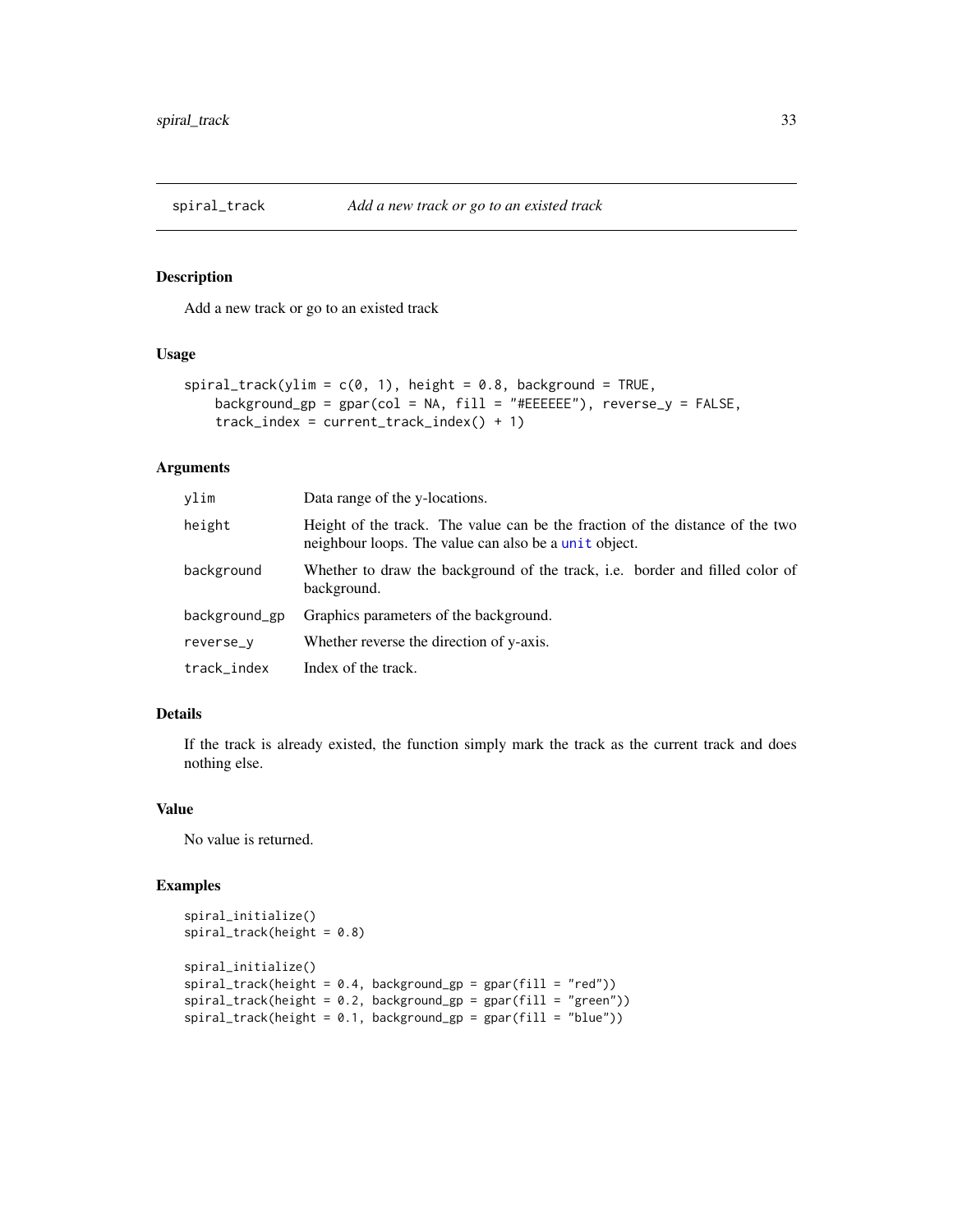<span id="page-32-0"></span>

#### Description

Add a new track or go to an existed track

#### Usage

```
spiral\_track(ylim = c(0, 1), height = 0.8, background = TRUE,background_gp = gpar(col = NA, fill = "#EEEEEE"), reverse_y = FALSE,
   track_index = current_track_index() + 1)
```
#### Arguments

| ylim          | Data range of the y-locations.                                                                                                         |
|---------------|----------------------------------------------------------------------------------------------------------------------------------------|
| height        | Height of the track. The value can be the fraction of the distance of the two<br>neighbour loops. The value can also be a unit object. |
| background    | Whether to draw the background of the track, i.e. border and filled color of<br>background.                                            |
| background_gp | Graphics parameters of the background.                                                                                                 |
| reverse_v     | Whether reverse the direction of y-axis.                                                                                               |
| track_index   | Index of the track.                                                                                                                    |

#### Details

If the track is already existed, the function simply mark the track as the current track and does nothing else.

#### Value

No value is returned.

```
spiral_initialize()
spiral_track(height = 0.8)
spiral_initialize()
spiral_track(height = 0.4, background_gp = gpar(fill = "red"))
spiral\_track(height = 0.2, background_sp = gpar(fill = "green"))spiral\_track(height = 0.1, background_sp = gpar(fill = "blue"))
```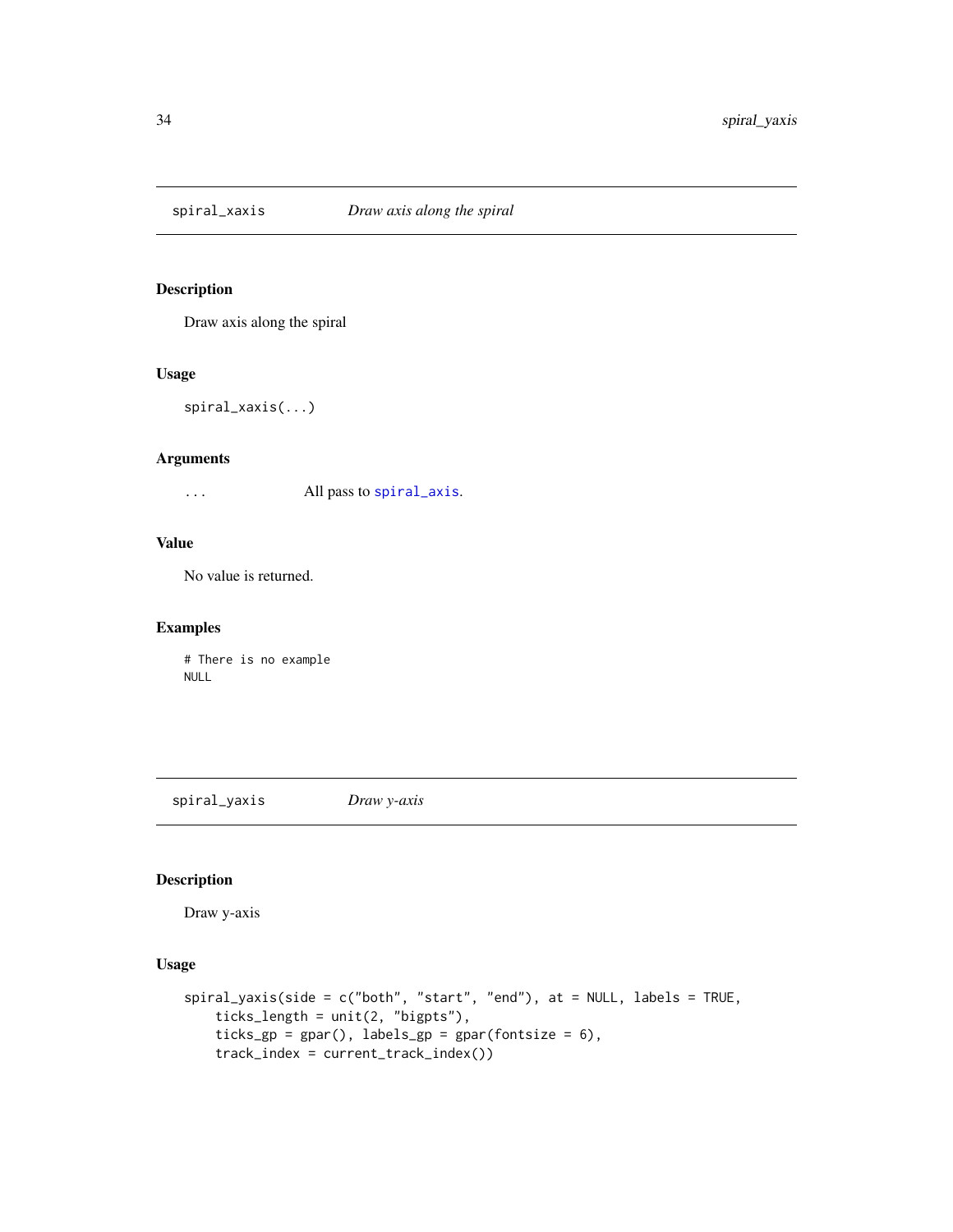<span id="page-33-0"></span>

## Description

Draw axis along the spiral

#### Usage

spiral\_xaxis(...)

#### Arguments

... All pass to [spiral\\_axis](#page-12-1).

## Value

No value is returned.

## Examples

# There is no example NULL

spiral\_yaxis *Draw y-axis*

## Description

Draw y-axis

```
spiral_yaxis(side = c("both", "start", "end"), at = NULL, labels = TRUE,
   ticks_length = unit(2, "bigpts"),
   ticks_gp = gpar(), labels_gp = gpar(fontsize = 6),
   track_index = current_track_index())
```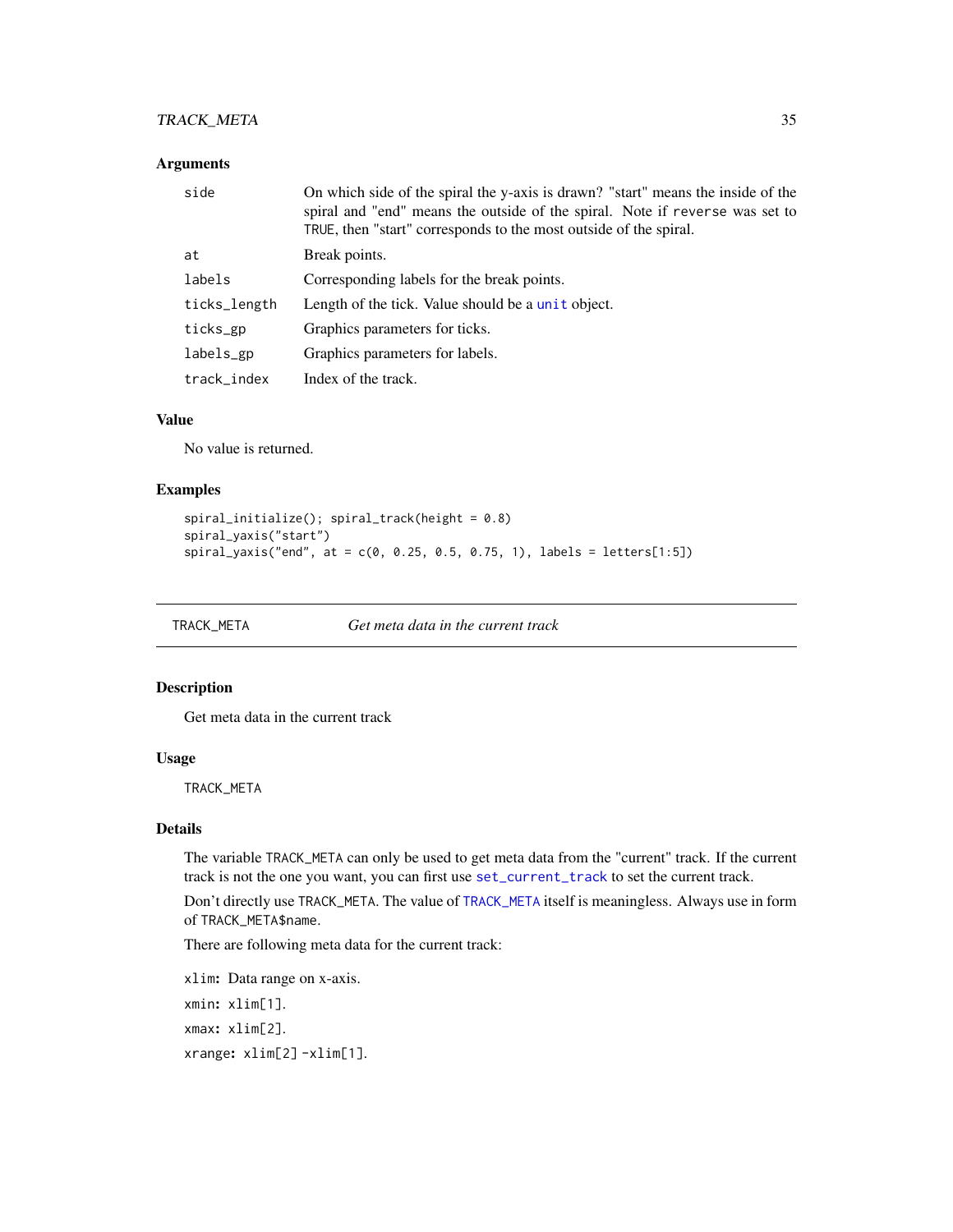## <span id="page-34-0"></span>TRACK\_META 35

## Arguments

| side         | On which side of the spiral the y-axis is drawn? "start" means the inside of the<br>spiral and "end" means the outside of the spiral. Note if reverse was set to<br>TRUE, then "start" corresponds to the most outside of the spiral. |
|--------------|---------------------------------------------------------------------------------------------------------------------------------------------------------------------------------------------------------------------------------------|
| at           | Break points.                                                                                                                                                                                                                         |
| labels       | Corresponding labels for the break points.                                                                                                                                                                                            |
| ticks_length | Length of the tick. Value should be a unit object.                                                                                                                                                                                    |
| ticks_gp     | Graphics parameters for ticks.                                                                                                                                                                                                        |
| labels_gp    | Graphics parameters for labels.                                                                                                                                                                                                       |
| track_index  | Index of the track.                                                                                                                                                                                                                   |

## Value

No value is returned.

#### Examples

```
spiral_initialize(); spiral_track(height = 0.8)
spiral_yaxis("start")
spiral_yaxis("end", at = c(0, 0.25, 0.5, 0.75, 1), labels = letters[1:5])
```
<span id="page-34-1"></span>TRACK\_META *Get meta data in the current track*

## Description

Get meta data in the current track

#### Usage

TRACK\_META

## Details

The variable TRACK\_META can only be used to get meta data from the "current" track. If the current track is not the one you want, you can first use [set\\_current\\_track](#page-10-2) to set the current track.

Don't directly use TRACK\_META. The value of [TRACK\\_META](#page-34-1) itself is meaningless. Always use in form of TRACK\_META\$name.

There are following meta data for the current track:

```
xlim: Data range on x-axis.
xmin: xlim[1].
xmax: xlim[2].
xrange: xlim[2] -xlim[1].
```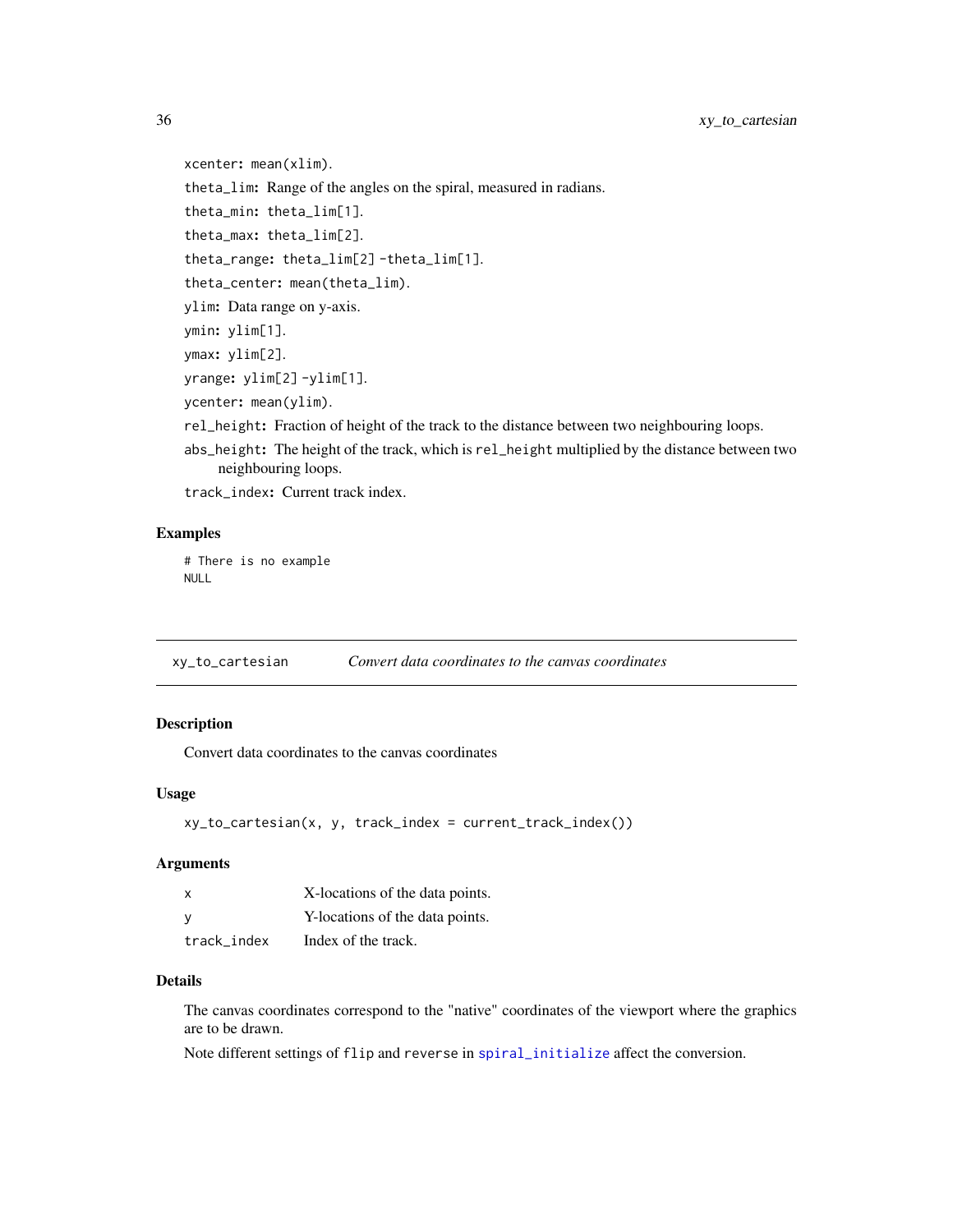<span id="page-35-0"></span>xcenter: mean(xlim). theta\_lim: Range of the angles on the spiral, measured in radians. theta\_min: theta\_lim[1]. theta\_max: theta\_lim[2]. theta\_range: theta\_lim[2] -theta\_lim[1]. theta\_center: mean(theta\_lim). ylim: Data range on y-axis. ymin: ylim[1]. ymax: ylim[2]. yrange: ylim[2] -ylim[1]. ycenter: mean(ylim). rel\_height: Fraction of height of the track to the distance between two neighbouring loops. abs\_height: The height of the track, which is rel\_height multiplied by the distance between two

- 
- neighbouring loops.

track\_index: Current track index.

#### Examples

# There is no example NULL

xy\_to\_cartesian *Convert data coordinates to the canvas coordinates*

## Description

Convert data coordinates to the canvas coordinates

## Usage

```
xy_to_cartesian(x, y, track_index = current_track_index())
```
## Arguments

| x           | X-locations of the data points. |
|-------------|---------------------------------|
|             | Y-locations of the data points. |
| track index | Index of the track.             |

#### Details

The canvas coordinates correspond to the "native" coordinates of the viewport where the graphics are to be drawn.

Note different settings of flip and reverse in [spiral\\_initialize](#page-19-1) affect the conversion.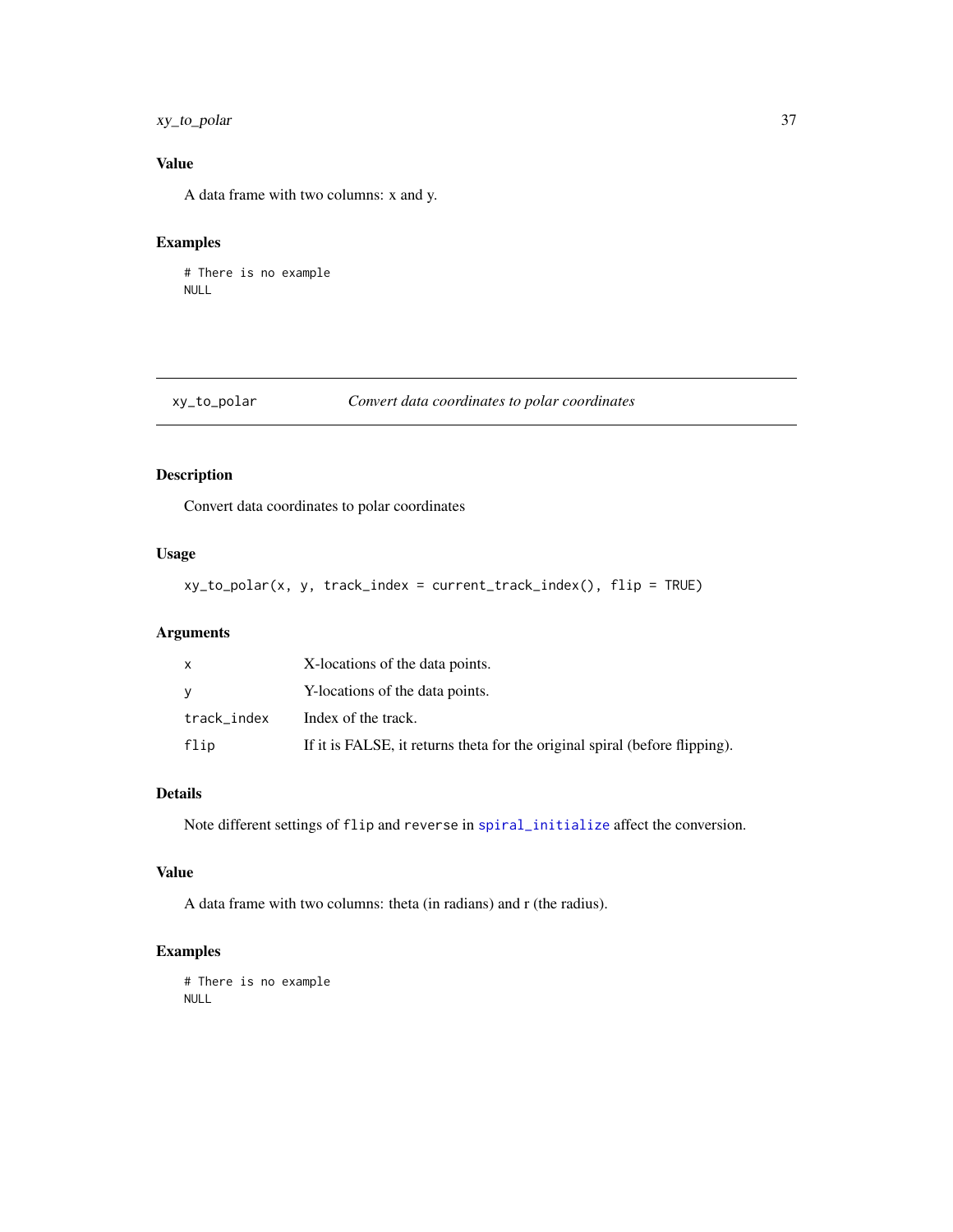## <span id="page-36-0"></span>xy\_to\_polar 37

## Value

A data frame with two columns: x and y.

## Examples

# There is no example NULL

## xy\_to\_polar *Convert data coordinates to polar coordinates*

## Description

Convert data coordinates to polar coordinates

#### Usage

xy\_to\_polar(x, y, track\_index = current\_track\_index(), flip = TRUE)

## Arguments

|             | X-locations of the data points.                                             |
|-------------|-----------------------------------------------------------------------------|
|             | Y-locations of the data points.                                             |
| track_index | Index of the track.                                                         |
| flip        | If it is FALSE, it returns theta for the original spiral (before flipping). |

## Details

Note different settings of flip and reverse in [spiral\\_initialize](#page-19-1) affect the conversion.

## Value

A data frame with two columns: theta (in radians) and r (the radius).

#### Examples

# There is no example NULL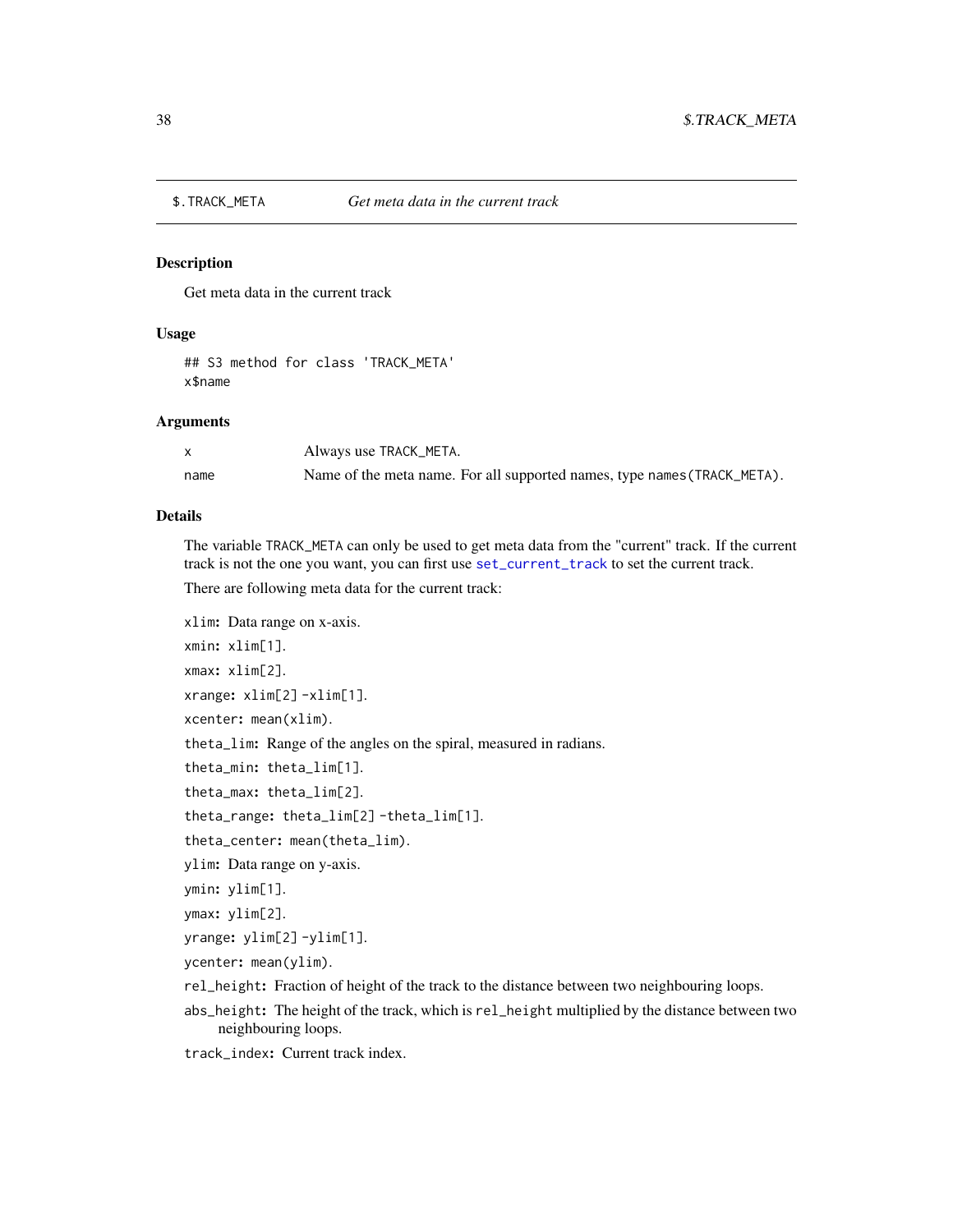<span id="page-37-0"></span>

#### Description

Get meta data in the current track

## Usage

```
## S3 method for class 'TRACK_META'
x$name
```
#### Arguments

|      | Always use TRACK_META.                                                   |
|------|--------------------------------------------------------------------------|
| name | Name of the meta name. For all supported names, type names (TRACK_META). |

#### Details

The variable TRACK\_META can only be used to get meta data from the "current" track. If the current track is not the one you want, you can first use [set\\_current\\_track](#page-10-2) to set the current track.

There are following meta data for the current track:

xlim: Data range on x-axis. xmin: xlim[1]. xmax: xlim[2]. xrange: xlim[2] -xlim[1]. xcenter: mean(xlim). theta\_lim: Range of the angles on the spiral, measured in radians. theta\_min: theta\_lim[1]. theta\_max: theta\_lim[2]. theta\_range: theta\_lim[2] -theta\_lim[1]. theta\_center: mean(theta\_lim). ylim: Data range on y-axis. ymin: ylim[1]. ymax: ylim[2]. yrange: ylim[2] -ylim[1]. ycenter: mean(ylim).

- rel\_height: Fraction of height of the track to the distance between two neighbouring loops.
- abs\_height: The height of the track, which is rel\_height multiplied by the distance between two neighbouring loops.

track\_index: Current track index.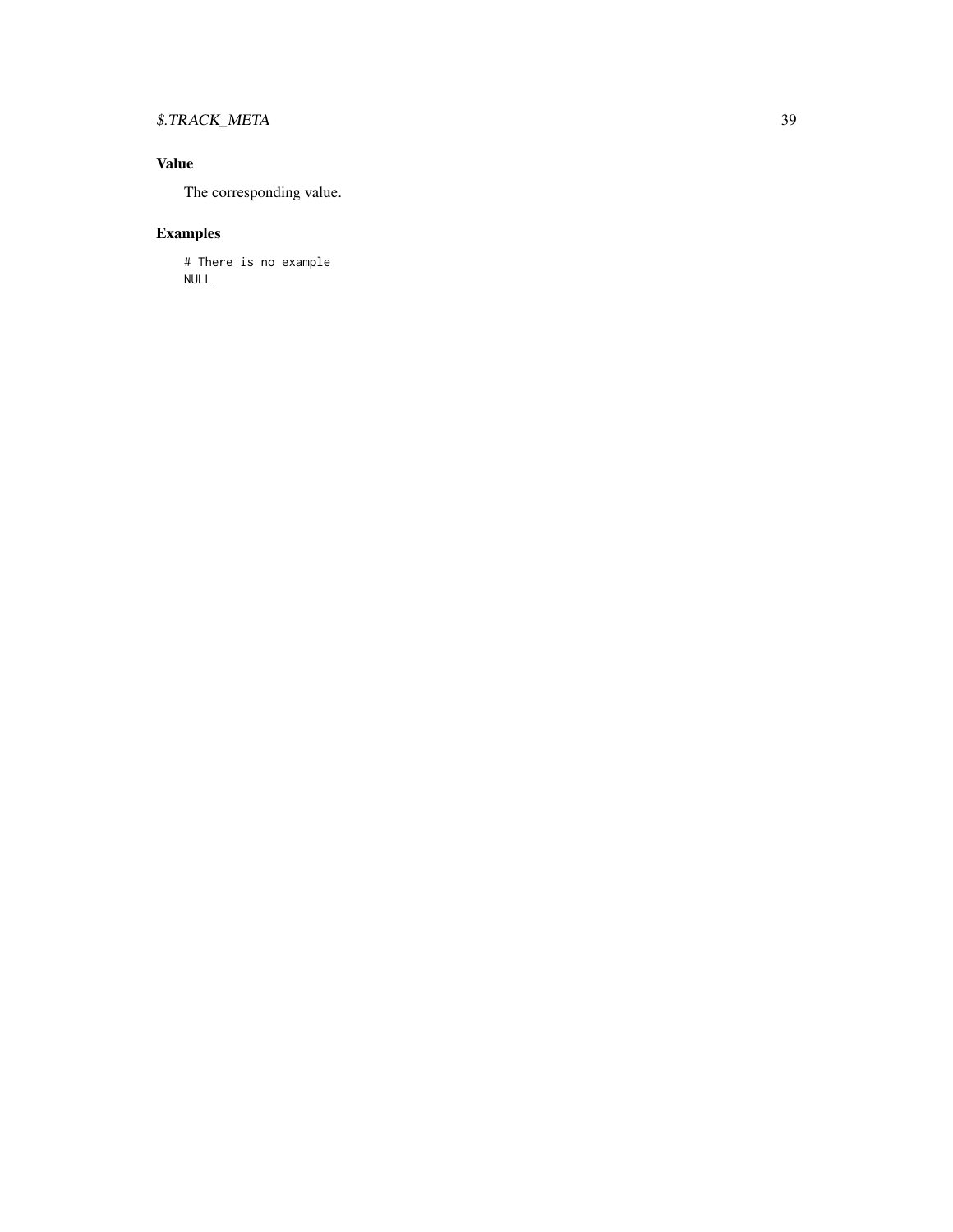## \$.TRACK\_META 39

## Value

The corresponding value.

## Examples

# There is no example NULL